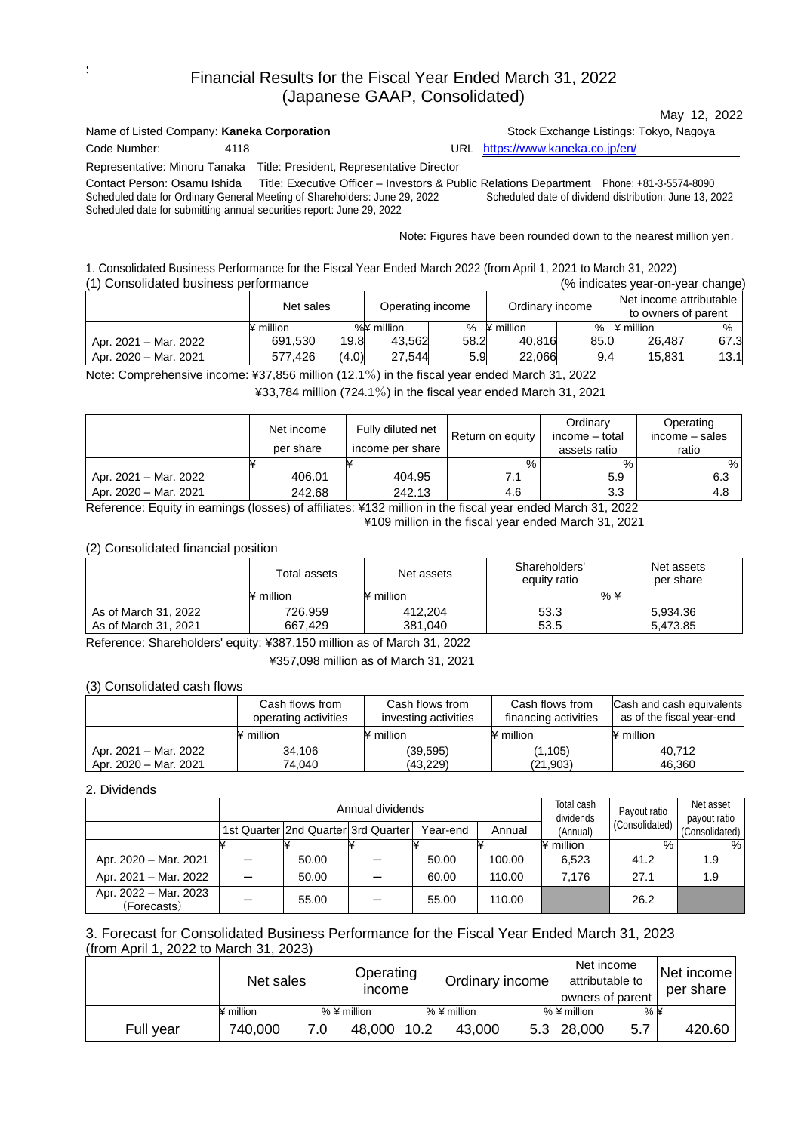# Financial Results for the Fiscal Year Ended March 31, 2022 (Japanese GAAP, Consolidated)

| Name of Listed Company: Kaneka Corporation |      |                                                                                                                                                     | Stock Exchange Listings: Tokyo, Nagoya                                                                                                              |  |  |
|--------------------------------------------|------|-----------------------------------------------------------------------------------------------------------------------------------------------------|-----------------------------------------------------------------------------------------------------------------------------------------------------|--|--|
| Code Number:                               | 4118 |                                                                                                                                                     | URL https://www.kaneka.co.jp/en/                                                                                                                    |  |  |
|                                            |      | Representative: Minoru Tanaka Title: President, Representative Director                                                                             |                                                                                                                                                     |  |  |
| Contact Person: Osamu Ishida               |      | Scheduled date for Ordinary General Meeting of Shareholders: June 29, 2022<br>Scheduled date for submitting annual securities report: June 29, 2022 | Title: Executive Officer – Investors & Public Relations Department Phone: +81-3-5574-8090<br>Scheduled date of dividend distribution: June 13, 2022 |  |  |
|                                            |      |                                                                                                                                                     | Note: Figures have been rounded down to the nearest million yen.                                                                                    |  |  |

May 12, 2022

1. Consolidated Business Performance for the Fiscal Year Ended March 2022 (from April 1, 2021 to March 31, 2022) (1) Consolidated business performance (% indicates year-on-year change)

| <u>oonoonaatou paolitoos portonnantoo</u> |                               | <u>to indicated your on your changer</u> |                 |      |                                                |      |                  |      |
|-------------------------------------------|-------------------------------|------------------------------------------|-----------------|------|------------------------------------------------|------|------------------|------|
|                                           | Net sales<br>Operating income |                                          | Ordinary income |      | Net income attributable<br>to owners of parent |      |                  |      |
|                                           | million                       |                                          | %¥ million      |      | % $\frac{1}{2}$ million                        | %    | $\angle$ million | %    |
| Apr. 2021 – Mar. 2022                     | 691,530                       | 19.8                                     | 43.562          | 58.2 | 40.816                                         | 85.0 | 26.487           | 67.3 |
| Apr. 2020 - Mar. 2021                     | 577.426                       | (4.0)                                    | 27.544          | 5.9  | 22.066                                         | 9.4  | 15.831           | 13.1 |

Note: Comprehensive income: ¥37,856 million (12.1%) in the fiscal year ended March 31, 2022 ¥33,784 million (724.1%) in the fiscal year ended March 31, 2021

|                       | Net income<br>per share | Fully diluted net<br>income per share | Return on equity | Ordinary<br>income – total<br>assets ratio | Operating<br>income – sales<br>ratio |
|-----------------------|-------------------------|---------------------------------------|------------------|--------------------------------------------|--------------------------------------|
|                       |                         |                                       | %                | $\%$                                       | %                                    |
| Apr. 2021 - Mar. 2022 | 406.01                  | 404.95                                | 7.1              | 5.9                                        | 6.3                                  |
| Apr. 2020 - Mar. 2021 | 242.68                  | 242.13                                | 4.6              | 3.3                                        | 4.8                                  |

Reference: Equity in earnings (losses) of affiliates: ¥132 million in the fiscal year ended March 31, 2022 ¥109 million in the fiscal year ended March 31, 2021

# (2) Consolidated financial position

|                      | Total assets | Net assets                                                                                                                                  | Shareholders'<br>equity ratio | Net assets<br>per share |
|----------------------|--------------|---------------------------------------------------------------------------------------------------------------------------------------------|-------------------------------|-------------------------|
|                      | ¥ million    | $\n  ii\n  iii\n  iii\n  iv\n  iv\n  iv\n  iv\n  iv\n  v\n  iv\n  v\n  iv\n  v\n  v\n  iv\n  v\n  v\n  v\n  v\n  v\n  v\n  v\n  v\n  v\n  $ | $%$ ¥                         |                         |
| As of March 31, 2022 | 726,959      | 412.204                                                                                                                                     | 53.3                          | 5,934.36                |
| As of March 31, 2021 | 667.429      | 381.040                                                                                                                                     | 53.5                          | 5.473.85                |

Reference: Shareholders' equity: ¥387,150 million as of March 31, 2022

¥357,098 million as of March 31, 2021

# (3) Consolidated cash flows

|                       | Cash flows from<br>operating activities                                                                                                    | Cash flows from<br>investing activities                                                                                                   | Cash flows from<br>financing activities | Cash and cash equivalents<br>as of the fiscal year-end |
|-----------------------|--------------------------------------------------------------------------------------------------------------------------------------------|-------------------------------------------------------------------------------------------------------------------------------------------|-----------------------------------------|--------------------------------------------------------|
|                       | $\n  ii\n  iii\n  iii\n  iv\n  iv\n  iv\n  iv\n  v\n  iv\n  v\n  iv\n  v\n  v\n  iv\n  v\n  v\n  v\n  v\n  v\n  v\n  v\n  v\n  v\n  v\n  $ | $\n  ii\n  iii\n  iii\n  iv\n  iv\n  iv\n  iv\n  v\n  iv\n  v\n  iv\n  v\n  v\n  v\n  v\n  v\n  v\n  v\n  v\n  v\n  v\n  v\n  v\n  v\n  $ | $\angle$ million                        | $\angle$ million                                       |
| Apr. 2021 - Mar. 2022 | 34.106                                                                                                                                     | (39, 595)                                                                                                                                 | (1, 105)                                | 40.712                                                 |
| Apr. 2020 - Mar. 2021 | 74.040                                                                                                                                     | (43.229)                                                                                                                                  | (21, 903)                               | 46.360                                                 |

# 2. Dividends

S

|                                      |    |                                     | Annual dividends | Total cash<br>Payout ratio<br>dividends |        | Net asset<br>payout ratio |                |                |
|--------------------------------------|----|-------------------------------------|------------------|-----------------------------------------|--------|---------------------------|----------------|----------------|
|                                      |    | 1st Quarter 2nd Quarter 3rd Quarter |                  | Year-end                                | Annual | (Annual)                  | (Consolidated) | (Consolidated) |
|                                      |    |                                     |                  |                                         |        | ¥ million                 | %.             | $\%$           |
| Apr. 2020 - Mar. 2021                |    | 50.00                               |                  | 50.00                                   | 100.00 | 6,523                     | 41.2           | 1.9            |
| Apr. 2021 - Mar. 2022                | ÷. | 50.00                               |                  | 60.00                                   | 110.00 | 7.176                     | 27.1           | 1.9            |
| Apr. 2022 - Mar. 2023<br>(Forecasts) |    | 55.00                               |                  | 55.00                                   | 110.00 |                           | 26.2           |                |

# 3. Forecast for Consolidated Business Performance for the Fiscal Year Ended March 31, 2023 (from April 1, 2022 to March 31, 2023)

|           | Net sales |     | Operating<br><i>income</i> |      | Ordinary income | Net income<br>attributable to<br>owners of parent |       | Net income<br>per share |
|-----------|-----------|-----|----------------------------|------|-----------------|---------------------------------------------------|-------|-------------------------|
|           | ¥ million |     | $%$ ¥ million              |      | $%$ ¥ million   | $%$ ¥ million                                     | $%$ ¥ |                         |
| Full vear | 740,000   | 7.0 | 48,000                     | 10.2 | 43.000          | $5.3 \mid 28,000$                                 | 5.7   | 420.60                  |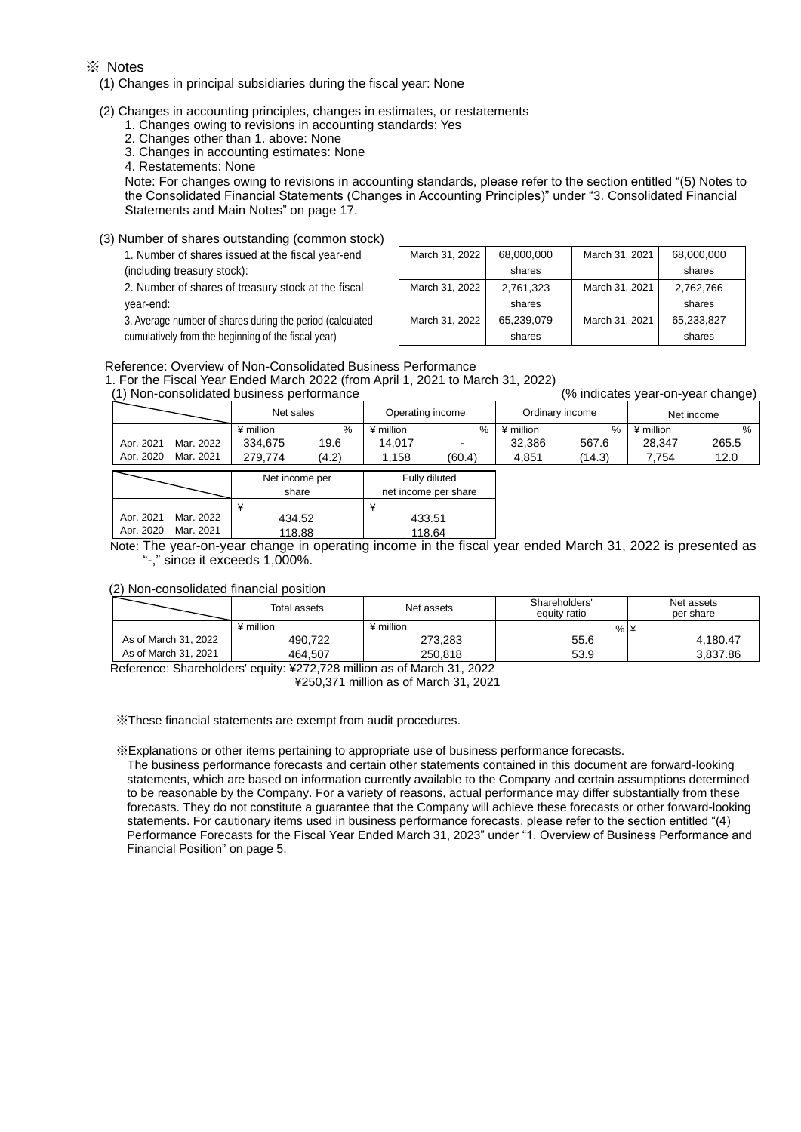#### ※ Notes

(1) Changes in principal subsidiaries during the fiscal year: None

- (2) Changes in accounting principles, changes in estimates, or restatements
	- 1. Changes owing to revisions in accounting standards: Yes
	- 2. Changes other than 1. above: None
	- 3. Changes in accounting estimates: None

4. Restatements: None

 Note: For changes owing to revisions in accounting standards, please refer to the section entitled "(5) Notes to the Consolidated Financial Statements (Changes in Accounting Principles)" under "3. Consolidated Financial Statements and Main Notes" on page 17.

(3) Number of shares outstanding (common stock)

1. Number of shares issued at the fiscal year-end

(including treasury stock):

2. Number of shares of treasury stock at the fiscal year-end:

3. Average number of shares during the period (calculated cumulatively from the beginning of the fiscal year)

| March 31, 2022 | 68,000,000 | March 31, 2021 | 68,000,000 |
|----------------|------------|----------------|------------|
|                | shares     |                | shares     |
| March 31, 2022 | 2,761,323  | March 31, 2021 | 2,762,766  |
|                | shares     |                | shares     |
| March 31, 2022 | 65,239,079 | March 31, 2021 | 65,233,827 |
|                | shares     |                | shares     |

#### Reference: Overview of Non-Consolidated Business Performance

434.52

1. For the Fiscal Year Ended March 2022 (from April 1, 2021 to March 31, 2022)

| (1) Non-consolidated business performance |                               |       |                                       |        | (% indicates year-on-year change) |        |             |               |
|-------------------------------------------|-------------------------------|-------|---------------------------------------|--------|-----------------------------------|--------|-------------|---------------|
|                                           | Net sales<br>Operating income |       |                                       |        | Ordinary income                   |        |             | Net income    |
|                                           | ¥ million                     | %     | ¥ million                             | $\%$   | ¥ million                         | %      | $*$ million | $\frac{0}{6}$ |
| Apr. 2021 - Mar. 2022                     | 334.675                       | 19.6  | 14.017                                |        | 32,386                            | 567.6  | 28.347      | 265.5         |
| Apr. 2020 - Mar. 2021                     | 279.774                       | (4.2) | 1.158                                 | (60.4) | 4,851                             | (14.3) | 7.754       | 12.0          |
|                                           | Net income per<br>share       |       | Fully diluted<br>net income per share |        |                                   |        |             |               |
| ¥                                         |                               |       |                                       |        |                                   |        |             |               |

Apr. 2020 – Mar. 2021 118.88 118.64 Note: The year-on-year change in operating income in the fiscal year ended March 31, 2022 is presented as "-," since it exceeds 1,000%.

433.51

#### (2) Non-consolidated financial position

Apr. 2021 – Mar. 2022

|                                                                        | Total assets | Net assets | Shareholders'<br>equity ratio | Net assets<br>per share |  |  |  |  |
|------------------------------------------------------------------------|--------------|------------|-------------------------------|-------------------------|--|--|--|--|
|                                                                        | ¥ million    | ¥ million  | $%$ ¥                         |                         |  |  |  |  |
| As of March 31, 2022                                                   | 490.722      | 273.283    | 55.6                          | 4.180.47                |  |  |  |  |
| As of March 31, 2021                                                   | 464.507      | 250.818    | 53.9                          | 3.837.86                |  |  |  |  |
| Reference: Charaboldera, equity: 8272.728 million as of March 21, 2022 |              |            |                               |                         |  |  |  |  |

Reference: Shareholders' equity: ¥272,728 million as of March 31, 2022

¥250,371 million as of March 31, 2021

※These financial statements are exempt from audit procedures.

※Explanations or other items pertaining to appropriate use of business performance forecasts.

The business performance forecasts and certain other statements contained in this document are forward-looking statements, which are based on information currently available to the Company and certain assumptions determined to be reasonable by the Company. For a variety of reasons, actual performance may differ substantially from these forecasts. They do not constitute a guarantee that the Company will achieve these forecasts or other forward-looking statements. For cautionary items used in business performance forecasts, please refer to the section entitled "(4) Performance Forecasts for the Fiscal Year Ended March 31, 2023" under "1. Overview of Business Performance and Financial Position" on page 5.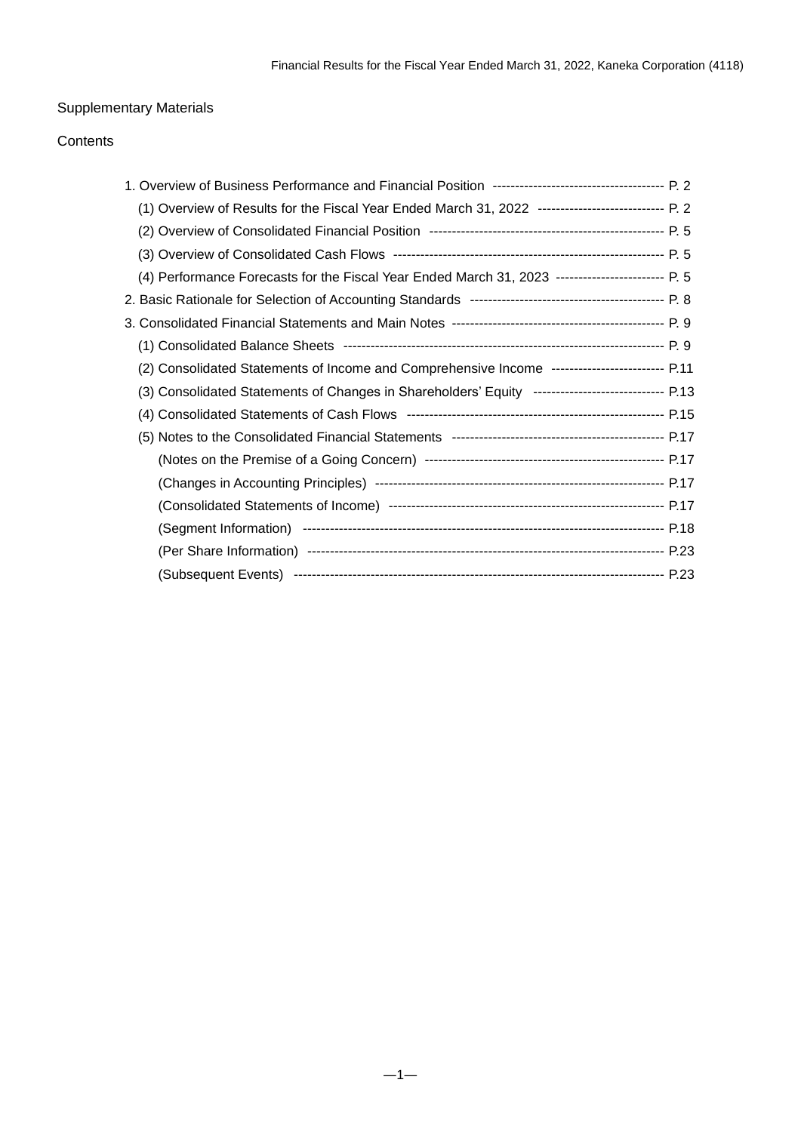# Supplementary Materials

# **Contents**

| (1) Overview of Results for the Fiscal Year Ended March 31, 2022 ---------------------------- P. 2 |  |
|----------------------------------------------------------------------------------------------------|--|
|                                                                                                    |  |
|                                                                                                    |  |
| (4) Performance Forecasts for the Fiscal Year Ended March 31, 2023 ------------------------ P. 5   |  |
|                                                                                                    |  |
|                                                                                                    |  |
|                                                                                                    |  |
| (2) Consolidated Statements of Income and Comprehensive Income ------------------------- P.11      |  |
| (3) Consolidated Statements of Changes in Shareholders' Equity ----------------------------- P.13  |  |
|                                                                                                    |  |
|                                                                                                    |  |
|                                                                                                    |  |
|                                                                                                    |  |
|                                                                                                    |  |
|                                                                                                    |  |
|                                                                                                    |  |
|                                                                                                    |  |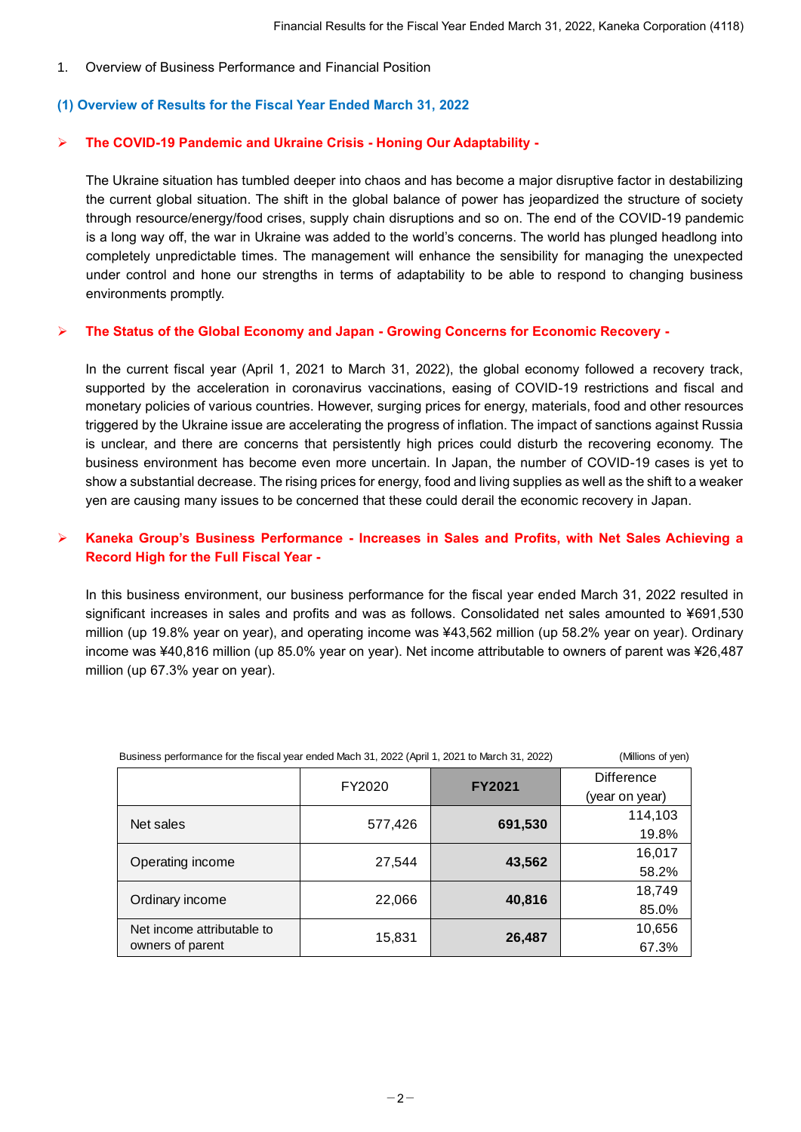### 1. Overview of Business Performance and Financial Position

### **(1) Overview of Results for the Fiscal Year Ended March 31, 2022**

### ➢ **The COVID-19 Pandemic and Ukraine Crisis - Honing Our Adaptability -**

The Ukraine situation has tumbled deeper into chaos and has become a major disruptive factor in destabilizing the current global situation. The shift in the global balance of power has jeopardized the structure of society through resource/energy/food crises, supply chain disruptions and so on. The end of the COVID-19 pandemic is a long way off, the war in Ukraine was added to the world's concerns. The world has plunged headlong into completely unpredictable times. The management will enhance the sensibility for managing the unexpected under control and hone our strengths in terms of adaptability to be able to respond to changing business environments promptly.

#### ➢ **The Status of the Global Economy and Japan - Growing Concerns for Economic Recovery -**

In the current fiscal year (April 1, 2021 to March 31, 2022), the global economy followed a recovery track, supported by the acceleration in coronavirus vaccinations, easing of COVID-19 restrictions and fiscal and monetary policies of various countries. However, surging prices for energy, materials, food and other resources triggered by the Ukraine issue are accelerating the progress of inflation. The impact of sanctions against Russia is unclear, and there are concerns that persistently high prices could disturb the recovering economy. The business environment has become even more uncertain. In Japan, the number of COVID-19 cases is yet to show a substantial decrease. The rising prices for energy, food and living supplies as well as the shift to a weaker yen are causing many issues to be concerned that these could derail the economic recovery in Japan.

# ➢ **Kaneka Group's Business Performance - Increases in Sales and Profits, with Net Sales Achieving a Record High for the Full Fiscal Year -**

In this business environment, our business performance for the fiscal year ended March 31, 2022 resulted in significant increases in sales and profits and was as follows. Consolidated net sales amounted to ¥691,530 million (up 19.8% year on year), and operating income was ¥43,562 million (up 58.2% year on year). Ordinary income was ¥40,816 million (up 85.0% year on year). Net income attributable to owners of parent was ¥26,487 million (up 67.3% year on year).

| Business performance for the fiscal year ended Mach 31, 2022 (April 1, 2021 to March 31, 2022) | (Millions of yen) |               |                   |
|------------------------------------------------------------------------------------------------|-------------------|---------------|-------------------|
|                                                                                                | FY2020            | <b>FY2021</b> | <b>Difference</b> |
|                                                                                                |                   |               | (year on year)    |
| Net sales                                                                                      | 577,426           | 691,530       | 114,103           |
|                                                                                                |                   |               | 19.8%             |
|                                                                                                |                   |               | 16,017            |
| Operating income                                                                               | 27,544            | 43,562        | 58.2%             |
|                                                                                                |                   |               | 18,749            |
| Ordinary income                                                                                | 22,066            | 40,816        | 85.0%             |
| Net income attributable to                                                                     |                   |               | 10,656            |
| owners of parent                                                                               | 15,831            | 26,487        | 67.3%             |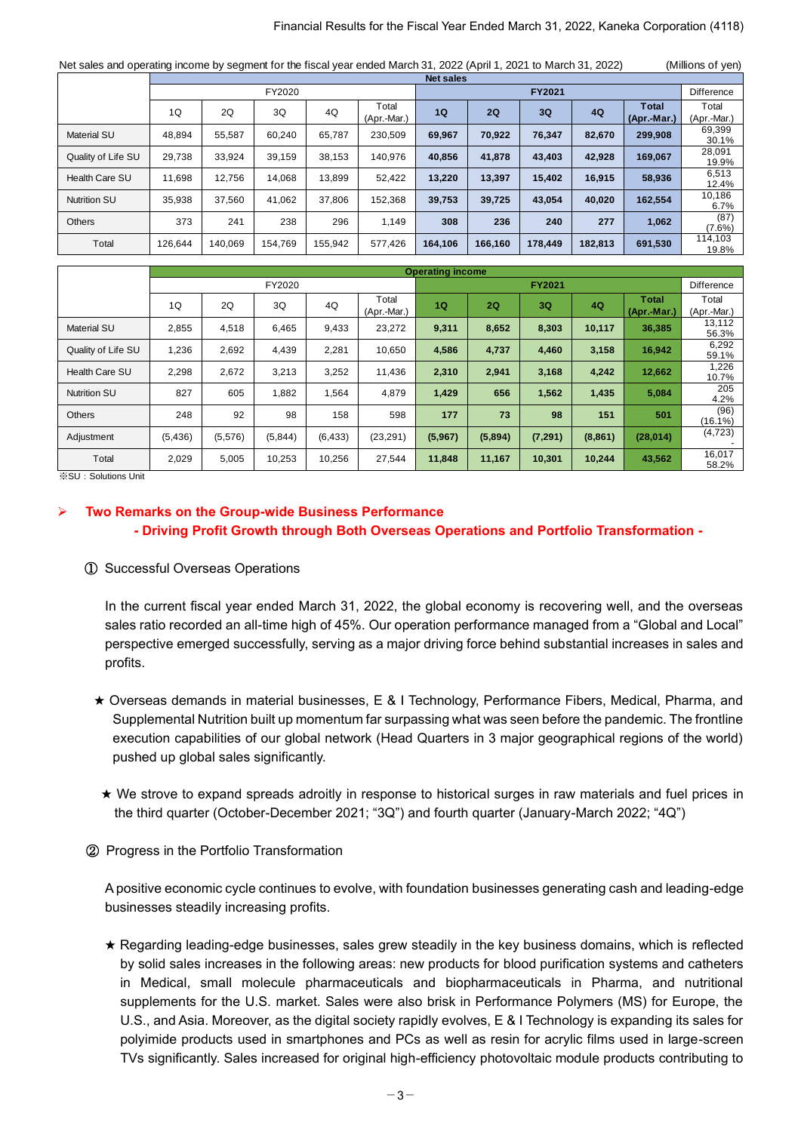#### Financial Results for the Fiscal Year Ended March 31, 2022, Kaneka Corporation (4118)

| Financial Results for the Fiscal Year Ended March 31, 2022, Kaneka Corporation (4118)                                |         |         |         |         |             |         |         |         |         |             |                   |
|----------------------------------------------------------------------------------------------------------------------|---------|---------|---------|---------|-------------|---------|---------|---------|---------|-------------|-------------------|
|                                                                                                                      |         |         |         |         |             |         |         |         |         |             |                   |
| Net sales and operating income by segment for the fiscal year ended March 31, 2022 (April 1, 2021 to March 31, 2022) |         |         |         |         |             |         |         |         |         |             | (Millions of yen) |
| <b>Net sales</b>                                                                                                     |         |         |         |         |             |         |         |         |         |             |                   |
|                                                                                                                      |         |         | FY2020  |         |             |         |         | FY2021  |         |             | Difference        |
|                                                                                                                      |         |         |         |         | Total       |         |         |         |         | Total       | Total             |
|                                                                                                                      | 1Q      | 2Q      | 3Q      | 4Q      | (Apr.-Mar.) | 1Q      | 2Q      | 3Q      | 4Q      | (Apr.-Mar.) | (Apr.-Mar.)       |
| <b>Material SU</b>                                                                                                   | 48,894  | 55,587  | 60,240  | 65,787  | 230,509     | 69,967  | 70,922  | 76,347  | 82,670  | 299,908     | 69,399            |
|                                                                                                                      |         |         |         |         |             |         |         |         |         |             | 30.1%             |
| Quality of Life SU                                                                                                   | 29,738  | 33,924  | 39,159  | 38,153  | 140,976     | 40,856  | 41,878  | 43,403  | 42,928  | 169,067     | 28,091            |
|                                                                                                                      |         |         |         |         |             |         |         |         |         |             | 19.9%             |
| Health Care SU                                                                                                       | 11,698  | 12,756  | 14.068  | 13,899  | 52,422      | 13,220  | 13,397  | 15,402  | 16,915  | 58,936      | 6,513             |
|                                                                                                                      |         |         |         |         |             |         |         |         |         |             | 12.4%             |
| <b>Nutrition SU</b>                                                                                                  | 35,938  | 37,560  | 41,062  | 37,806  | 152,368     | 39,753  | 39,725  | 43,054  | 40,020  | 162,554     | 10,186            |
|                                                                                                                      |         |         |         |         |             |         |         |         |         |             | $6.7\%$           |
| <b>Others</b>                                                                                                        | 373     | 241     | 238     | 296     |             | 308     | 236     | 240     | 277     |             | (87)              |
|                                                                                                                      |         |         |         |         | 1,149       |         |         |         |         | 1,062       | $(7.6\%)$         |
| Total                                                                                                                | 126,644 | 140,069 | 154,769 | 155,942 | 577,426     | 164,106 | 166,160 | 178,449 | 182,813 | 691,530     | 114,103           |
|                                                                                                                      |         |         |         |         |             |         |         |         |         |             | 19.8%             |

| <b>Others</b>       | 373      | 241     | 238     | 296      | 1,149       | 308                     | 236     | 240      | 277      | 1,062       | 10 I<br>$(7.6\%)$ |
|---------------------|----------|---------|---------|----------|-------------|-------------------------|---------|----------|----------|-------------|-------------------|
| Total               | 126,644  | 140,069 | 154,769 | 155,942  | 577,426     | 164,106                 | 166,160 | 178,449  | 182,813  | 691,530     | 114,103<br>19.8%  |
|                     |          |         |         |          |             |                         |         |          |          |             |                   |
|                     |          |         |         |          |             | <b>Operating income</b> |         |          |          |             |                   |
|                     |          |         | FY2020  |          |             |                         |         | FY2021   |          |             | Difference        |
|                     |          |         |         |          | Total       |                         |         |          |          | Total       | Total             |
|                     | 1Q       | 2Q      | 3Q      | 4Q       | (Apr.-Mar.) | <b>1Q</b>               | 2Q      | 3Q       | 4Q       | (Apr.-Mar.) | (Apr.-Mar.)       |
| <b>Material SU</b>  | 2,855    | 4,518   | 6,465   | 9,433    | 23,272      | 9,311                   | 8,652   | 8,303    | 10,117   | 36,385      | 13,112            |
|                     |          |         |         |          |             |                         |         |          |          |             | 56.3%             |
| Quality of Life SU  | 1,236    | 2,692   | 4,439   | 2,281    | 10,650      | 4,586                   | 4,737   | 4,460    | 3,158    | 16,942      | 6,292             |
|                     |          |         |         |          |             |                         |         |          |          |             | 59.1%             |
| Health Care SU      | 2,298    | 2,672   | 3,213   | 3,252    | 11,436      | 2,310                   | 2,941   | 3,168    | 4,242    | 12,662      | 1,226             |
|                     |          |         |         |          |             |                         |         |          |          |             | 10.7%             |
| <b>Nutrition SU</b> | 827      | 605     | 1,882   | 1,564    | 4,879       | 1,429                   | 656     | 1,562    | 1,435    | 5,084       | 205               |
|                     |          |         |         |          |             |                         |         |          |          |             | 4.2%              |
| <b>Others</b>       | 248      | 92      | 98      | 158      | 598         | 177                     | 73      | 98       | 151      | 501         | (96)              |
|                     |          |         |         |          |             |                         |         |          |          |             | (16.1%)           |
| Adjustment          | (5, 436) | (5,576) | (5,844) | (6, 433) | (23, 291)   | (5,967)                 | (5,894) | (7, 291) | (8, 861) | (28, 014)   | (4, 723)          |
|                     |          |         |         |          |             |                         |         |          |          |             |                   |
| Total               | 2,029    | 5,005   | 10,253  | 10,256   | 27,544      | 11,848                  | 11,167  | 10,301   | 10,244   | 43,562      | 16,017            |
|                     |          |         |         |          |             |                         |         |          |          |             | 58.2%             |

※SU:Solutions Unit

# ➢ **Two Remarks on the Group-wide Business Performance - Driving Profit Growth through Both Overseas Operations and Portfolio Transformation -**

#### ① Successful Overseas Operations

In the current fiscal year ended March 31, 2022, the global economy is recovering well, and the overseas sales ratio recorded an all-time high of 45%. Our operation performance managed from a "Global and Local" perspective emerged successfully, serving as a major driving force behind substantial increases in sales and profits.

- ★ Overseas demands in material businesses, E & I Technology, Performance Fibers, Medical, Pharma, and Supplemental Nutrition built up momentum far surpassing what was seen before the pandemic. The frontline execution capabilities of our global network (Head Quarters in 3 major geographical regions of the world) pushed up global sales significantly.
- ★ We strove to expand spreads adroitly in response to historical surges in raw materials and fuel prices in the third quarter (October-December 2021; "3Q") and fourth quarter (January-March 2022; "4Q")

### ② Progress in the Portfolio Transformation

A positive economic cycle continues to evolve, with foundation businesses generating cash and leading-edge businesses steadily increasing profits.

★ Regarding leading-edge businesses, sales grew steadily in the key business domains, which is reflected by solid sales increases in the following areas: new products for blood purification systems and catheters in Medical, small molecule pharmaceuticals and biopharmaceuticals in Pharma, and nutritional supplements for the U.S. market. Sales were also brisk in Performance Polymers (MS) for Europe, the U.S., and Asia. Moreover, as the digital society rapidly evolves, E & I Technology is expanding its sales for polyimide products used in smartphones and PCs as well as resin for acrylic films used in large-screen TVs significantly. Sales increased for original high-efficiency photovoltaic module products contributing to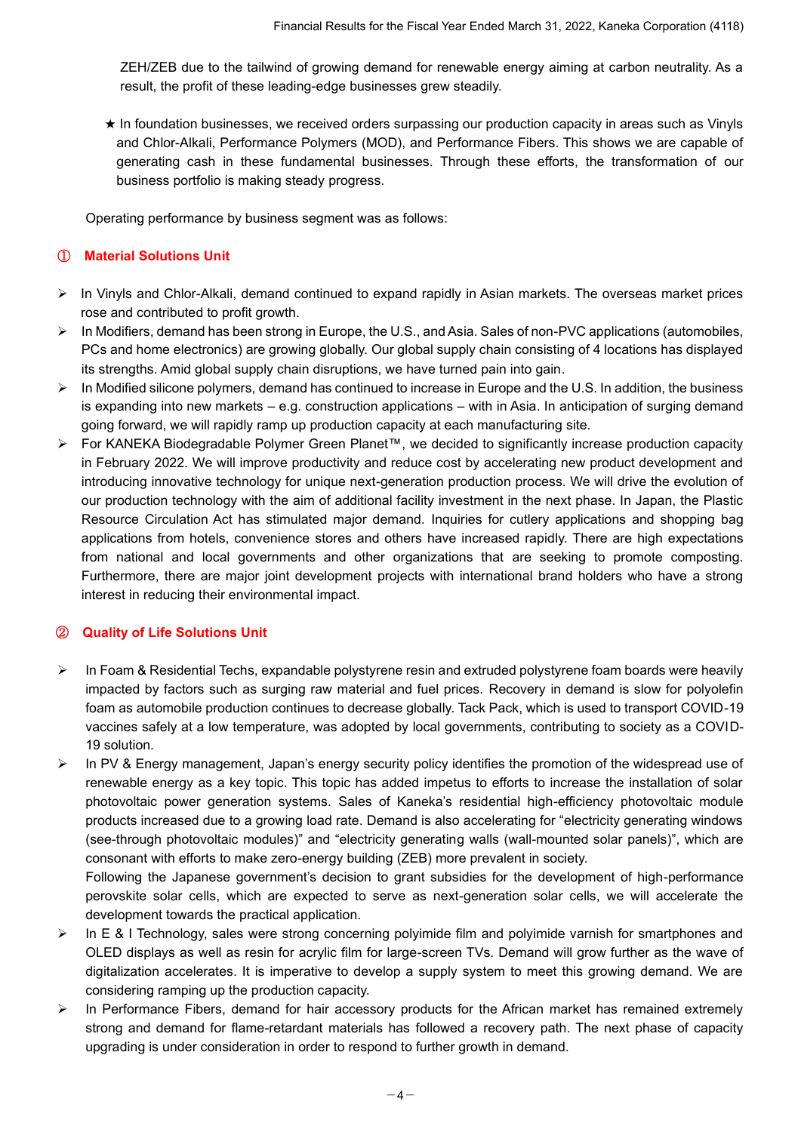ZEH/ZEB due to the tailwind of growing demand for renewable energy aiming at carbon neutrality. As a result, the profit of these leading-edge businesses grew steadily.

★ In foundation businesses, we received orders surpassing our production capacity in areas such as Vinyls and Chlor-Alkali, Performance Polymers (MOD), and Performance Fibers. This shows we are capable of generating cash in these fundamental businesses. Through these efforts, the transformation of our business portfolio is making steady progress.

Operating performance by business segment was as follows:

### ① **Material Solutions Unit**

- ➢ In Vinyls and Chlor-Alkali, demand continued to expand rapidly in Asian markets. The overseas market prices rose and contributed to profit growth.
- ➢ In Modifiers, demand has been strong in Europe, the U.S., and Asia. Sales of non-PVC applications (automobiles, PCs and home electronics) are growing globally. Our global supply chain consisting of 4 locations has displayed its strengths. Amid global supply chain disruptions, we have turned pain into gain.
- $\triangleright$  In Modified silicone polymers, demand has continued to increase in Europe and the U.S. In addition, the business is expanding into new markets – e.g. construction applications – with in Asia. In anticipation of surging demand going forward, we will rapidly ramp up production capacity at each manufacturing site.
- ➢ For KANEKA Biodegradable Polymer Green Planet™, we decided to significantly increase production capacity in February 2022. We will improve productivity and reduce cost by accelerating new product development and introducing innovative technology for unique next-generation production process. We will drive the evolution of our production technology with the aim of additional facility investment in the next phase. In Japan, the Plastic Resource Circulation Act has stimulated major demand. Inquiries for cutlery applications and shopping bag applications from hotels, convenience stores and others have increased rapidly. There are high expectations from national and local governments and other organizations that are seeking to promote composting. Furthermore, there are major joint development projects with international brand holders who have a strong interest in reducing their environmental impact.

# ② **Quality of Life Solutions Unit**

- ➢ In Foam & Residential Techs, expandable polystyrene resin and extruded polystyrene foam boards were heavily impacted by factors such as surging raw material and fuel prices. Recovery in demand is slow for polyolefin foam as automobile production continues to decrease globally. Tack Pack, which is used to transport COVID-19 vaccines safely at a low temperature, was adopted by local governments, contributing to society as a COVID-19 solution.
- ➢ In PV & Energy management, Japan's energy security policy identifies the promotion of the widespread use of renewable energy as a key topic. This topic has added impetus to efforts to increase the installation of solar photovoltaic power generation systems. Sales of Kaneka's residential high-efficiency photovoltaic module products increased due to a growing load rate. Demand is also accelerating for "electricity generating windows (see-through photovoltaic modules)" and "electricity generating walls (wall-mounted solar panels)", which are consonant with efforts to make zero-energy building (ZEB) more prevalent in society.

Following the Japanese government's decision to grant subsidies for the development of high-performance perovskite solar cells, which are expected to serve as next-generation solar cells, we will accelerate the development towards the practical application.

- ➢ In E & I Technology, sales were strong concerning polyimide film and polyimide varnish for smartphones and OLED displays as well as resin for acrylic film for large-screen TVs. Demand will grow further as the wave of digitalization accelerates. It is imperative to develop a supply system to meet this growing demand. We are considering ramping up the production capacity.
- ➢ In Performance Fibers, demand for hair accessory products for the African market has remained extremely strong and demand for flame-retardant materials has followed a recovery path. The next phase of capacity upgrading is under consideration in order to respond to further growth in demand.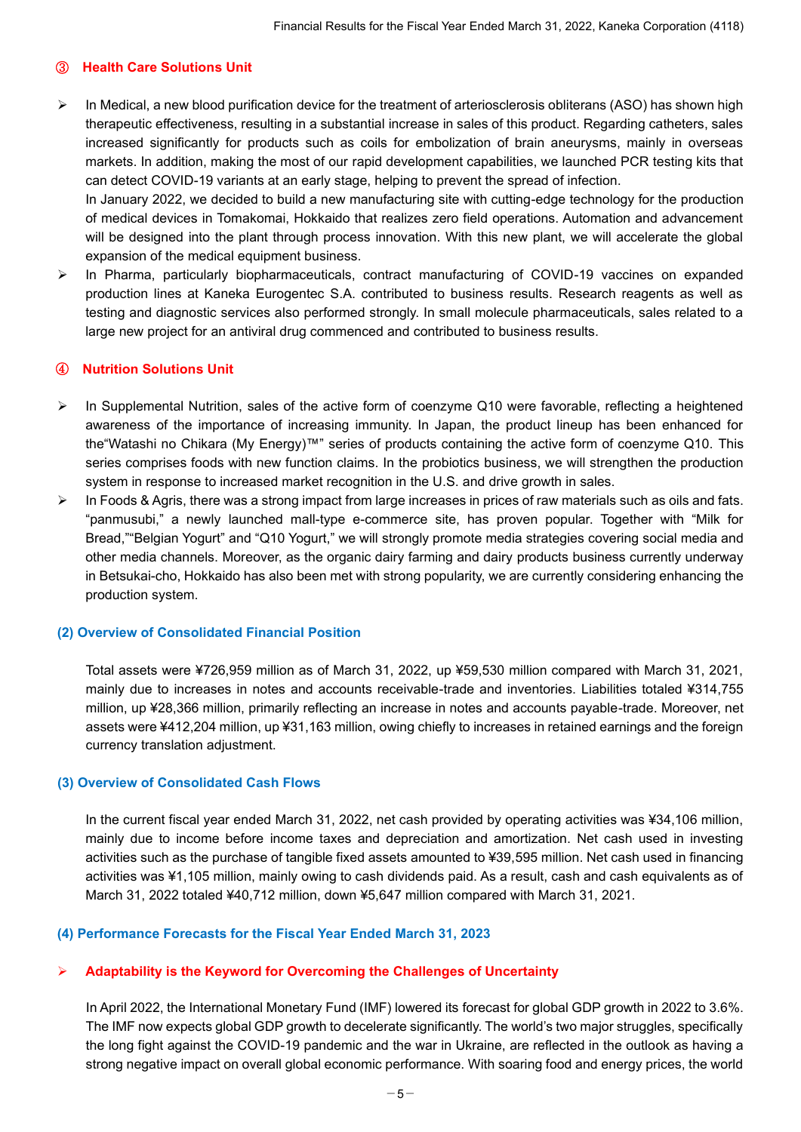# ③ **Health Care Solutions Unit**

 $\triangleright$  In Medical, a new blood purification device for the treatment of arteriosclerosis obliterans (ASO) has shown high therapeutic effectiveness, resulting in a substantial increase in sales of this product. Regarding catheters, sales increased significantly for products such as coils for embolization of brain aneurysms, mainly in overseas markets. In addition, making the most of our rapid development capabilities, we launched PCR testing kits that can detect COVID-19 variants at an early stage, helping to prevent the spread of infection.

In January 2022, we decided to build a new manufacturing site with cutting-edge technology for the production of medical devices in Tomakomai, Hokkaido that realizes zero field operations. Automation and advancement will be designed into the plant through process innovation. With this new plant, we will accelerate the global expansion of the medical equipment business.

➢ In Pharma, particularly biopharmaceuticals, contract manufacturing of COVID-19 vaccines on expanded production lines at Kaneka Eurogentec S.A. contributed to business results. Research reagents as well as testing and diagnostic services also performed strongly. In small molecule pharmaceuticals, sales related to a large new project for an antiviral drug commenced and contributed to business results.

# ④ **Nutrition Solutions Unit**

- ➢ In Supplemental Nutrition, sales of the active form of coenzyme Q10 were favorable, reflecting a heightened awareness of the importance of increasing immunity. In Japan, the product lineup has been enhanced for the"Watashi no Chikara (My Energy)™" series of products containing the active form of coenzyme Q10. This series comprises foods with new function claims. In the probiotics business, we will strengthen the production system in response to increased market recognition in the U.S. and drive growth in sales.
- $\triangleright$  In Foods & Agris, there was a strong impact from large increases in prices of raw materials such as oils and fats. "panmusubi," a newly launched mall-type e-commerce site, has proven popular. Together with "Milk for Bread,""Belgian Yogurt" and "Q10 Yogurt," we will strongly promote media strategies covering social media and other media channels. Moreover, as the organic dairy farming and dairy products business currently underway in Betsukai-cho, Hokkaido has also been met with strong popularity, we are currently considering enhancing the production system.

### **(2) Overview of Consolidated Financial Position**

Total assets were ¥726,959 million as of March 31, 2022, up ¥59,530 million compared with March 31, 2021, mainly due to increases in notes and accounts receivable-trade and inventories. Liabilities totaled ¥314,755 million, up ¥28,366 million, primarily reflecting an increase in notes and accounts payable-trade. Moreover, net assets were ¥412,204 million, up ¥31,163 million, owing chiefly to increases in retained earnings and the foreign currency translation adjustment.

### **(3) Overview of Consolidated Cash Flows**

In the current fiscal year ended March 31, 2022, net cash provided by operating activities was ¥34,106 million, mainly due to income before income taxes and depreciation and amortization. Net cash used in investing activities such as the purchase of tangible fixed assets amounted to ¥39,595 million. Net cash used in financing activities was ¥1,105 million, mainly owing to cash dividends paid. As a result, cash and cash equivalents as of March 31, 2022 totaled ¥40,712 million, down ¥5,647 million compared with March 31, 2021.

### **(4) Performance Forecasts for the Fiscal Year Ended March 31, 2023**

### ➢ **Adaptability is the Keyword for Overcoming the Challenges of Uncertainty**

In April 2022, the International Monetary Fund (IMF) lowered its forecast for global GDP growth in 2022 to 3.6%. The IMF now expects global GDP growth to decelerate significantly. The world's two major struggles, specifically the long fight against the COVID-19 pandemic and the war in Ukraine, are reflected in the outlook as having a strong negative impact on overall global economic performance. With soaring food and energy prices, the world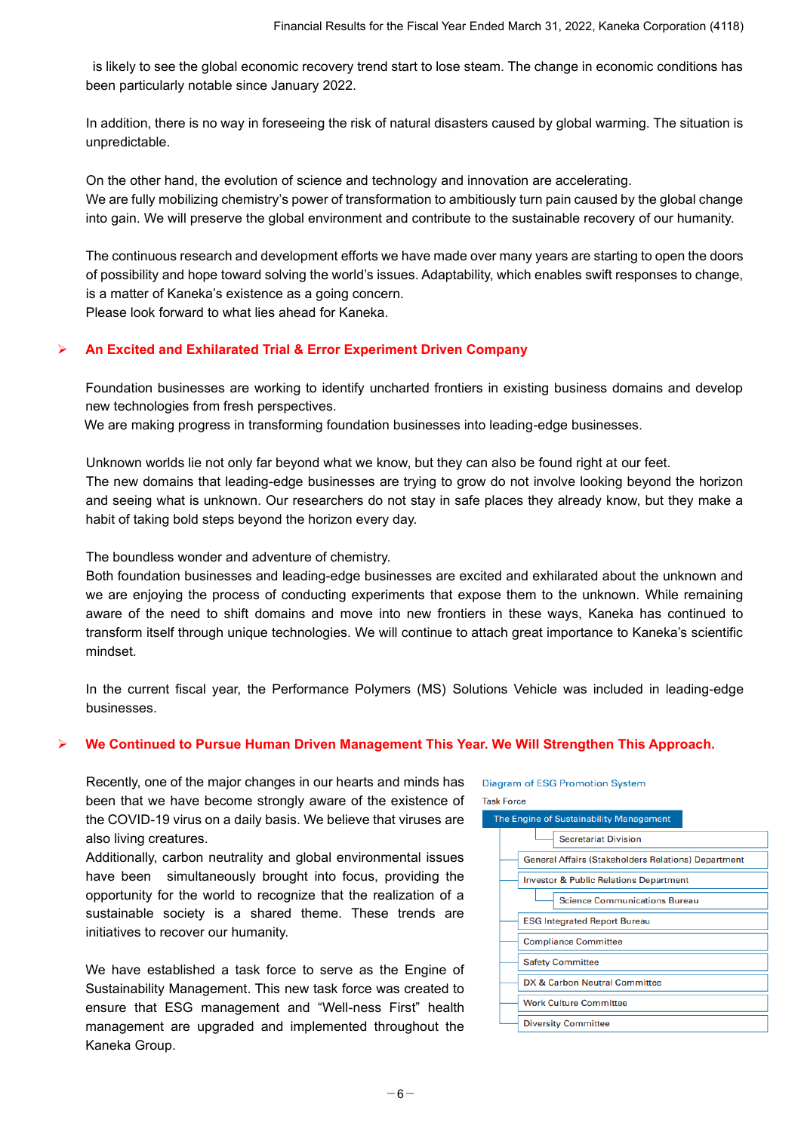is likely to see the global economic recovery trend start to lose steam. The change in economic conditions has been particularly notable since January 2022.

In addition, there is no way in foreseeing the risk of natural disasters caused by global warming. The situation is unpredictable.

On the other hand, the evolution of science and technology and innovation are accelerating. We are fully mobilizing chemistry's power of transformation to ambitiously turn pain caused by the global change into gain. We will preserve the global environment and contribute to the sustainable recovery of our humanity.

The continuous research and development efforts we have made over many years are starting to open the doors of possibility and hope toward solving the world's issues. Adaptability, which enables swift responses to change, is a matter of Kaneka's existence as a going concern.

Please look forward to what lies ahead for Kaneka.

# ➢ **An Excited and Exhilarated Trial & Error Experiment Driven Company**

Foundation businesses are working to identify uncharted frontiers in existing business domains and develop new technologies from fresh perspectives.

We are making progress in transforming foundation businesses into leading-edge businesses.

Unknown worlds lie not only far beyond what we know, but they can also be found right at our feet. The new domains that leading-edge businesses are trying to grow do not involve looking beyond the horizon and seeing what is unknown. Our researchers do not stay in safe places they already know, but they make a habit of taking bold steps beyond the horizon every day.

The boundless wonder and adventure of chemistry.

Both foundation businesses and leading-edge businesses are excited and exhilarated about the unknown and we are enjoying the process of conducting experiments that expose them to the unknown. While remaining aware of the need to shift domains and move into new frontiers in these ways, Kaneka has continued to transform itself through unique technologies. We will continue to attach great importance to Kaneka's scientific mindset.

In the current fiscal year, the Performance Polymers (MS) Solutions Vehicle was included in leading-edge businesses.

### ➢ **We Continued to Pursue Human Driven Management This Year. We Will Strengthen This Approach.**

Recently, one of the major changes in our hearts and minds has been that we have become strongly aware of the existence of the COVID-19 virus on a daily basis. We believe that viruses are also living creatures.

Additionally, carbon neutrality and global environmental issues have been simultaneously brought into focus, providing the opportunity for the world to recognize that the realization of a sustainable society is a shared theme. These trends are initiatives to recover our humanity.

We have established a task force to serve as the Engine of Sustainability Management. This new task force was created to ensure that ESG management and "Well-ness First" health management are upgraded and implemented throughout the Kaneka Group.

**Task Force** The Engine of Sustainability Management **Secretariat Division General Affairs (Stakeholders Relations) Department Investor & Public Relations Department Science Communications Bureau ESG Integrated Report Bureau Compliance Committee Safety Committee** DX & Carbon Neutral Committee Work Culture Committee **Diversity Committee** 

**Diagram of ESG Promotion System**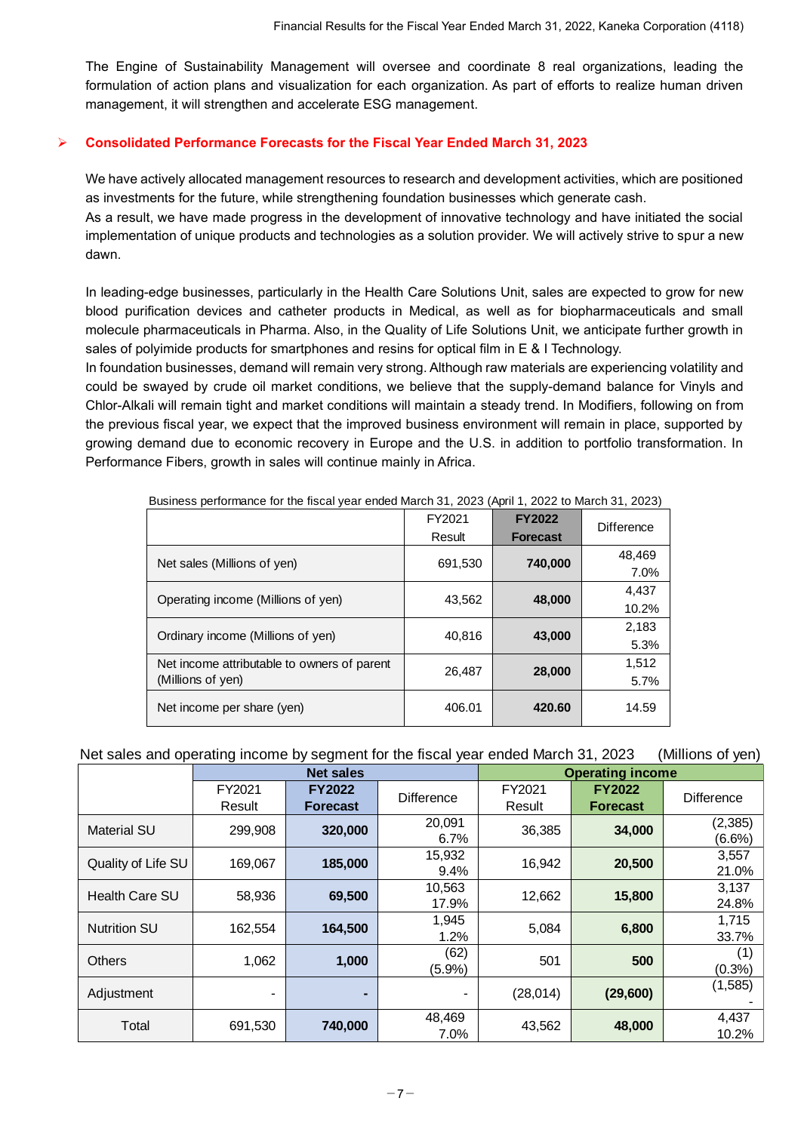The Engine of Sustainability Management will oversee and coordinate 8 real organizations, leading the formulation of action plans and visualization for each organization. As part of efforts to realize human driven management, it will strengthen and accelerate ESG management.

# ➢ **Consolidated Performance Forecasts for the Fiscal Year Ended March 31, 2023**

We have actively allocated management resources to research and development activities, which are positioned as investments for the future, while strengthening foundation businesses which generate cash.

As a result, we have made progress in the development of innovative technology and have initiated the social implementation of unique products and technologies as a solution provider. We will actively strive to spur a new dawn.

In leading-edge businesses, particularly in the Health Care Solutions Unit, sales are expected to grow for new blood purification devices and catheter products in Medical, as well as for biopharmaceuticals and small molecule pharmaceuticals in Pharma. Also, in the Quality of Life Solutions Unit, we anticipate further growth in sales of polyimide products for smartphones and resins for optical film in E & I Technology.

In foundation businesses, demand will remain very strong. Although raw materials are experiencing volatility and could be swayed by crude oil market conditions, we believe that the supply-demand balance for Vinyls and Chlor-Alkali will remain tight and market conditions will maintain a steady trend. In Modifiers, following on from the previous fiscal year, we expect that the improved business environment will remain in place, supported by growing demand due to economic recovery in Europe and the U.S. in addition to portfolio transformation. In Performance Fibers, growth in sales will continue mainly in Africa.

| <b>Business ponomianos for the novar your chaca march of, 2020 (riphilit, 2022 to march of, 2020</b> ) | FY2021  | <b>FY2022</b>   |                   |
|--------------------------------------------------------------------------------------------------------|---------|-----------------|-------------------|
|                                                                                                        | Result  | <b>Forecast</b> | <b>Difference</b> |
| Net sales (Millions of yen)                                                                            | 691,530 | 740,000         | 48,469            |
|                                                                                                        |         |                 | 7.0%              |
| Operating income (Millions of yen)                                                                     | 43,562  | 48,000          | 4,437             |
|                                                                                                        |         |                 | 10.2%             |
| Ordinary income (Millions of yen)                                                                      | 40,816  | 43,000          | 2,183             |
|                                                                                                        |         |                 | 5.3%              |
| Net income attributable to owners of parent                                                            | 26,487  | 28,000          | 1,512             |
| (Millions of yen)                                                                                      |         |                 | 5.7%              |
| Net income per share (yen)                                                                             | 406.01  | 420.60          | 14.59             |

Business performance for the fiscal year ended March 31, 2023 (April 1, 2022 to March 31, 2023)

# Net sales and operating income by segment for the fiscal year ended March 31, 2023 (Millions of yen)

|                     |         | <b>Net sales</b> |            |           | <b>Operating income</b> |                   |
|---------------------|---------|------------------|------------|-----------|-------------------------|-------------------|
|                     | FY2021  | <b>FY2022</b>    | Difference | FY2021    | <b>FY2022</b>           | <b>Difference</b> |
|                     | Result  | <b>Forecast</b>  |            | Result    | <b>Forecast</b>         |                   |
| <b>Material SU</b>  | 299,908 | 320,000          | 20,091     | 36,385    | 34,000                  | (2, 385)          |
|                     |         |                  | 6.7%       |           |                         | (6.6%)            |
| Quality of Life SU  | 169,067 | 185,000          | 15,932     | 16,942    | 20,500                  | 3,557             |
|                     |         |                  | 9.4%       |           |                         | 21.0%             |
| Health Care SU      | 58,936  | 69,500           | 10,563     | 12,662    | 15,800                  | 3,137             |
|                     |         |                  | 17.9%      |           |                         | 24.8%             |
| <b>Nutrition SU</b> | 162.554 | 164,500          | 1,945      | 5,084     | 6,800                   | 1,715             |
|                     |         |                  | 1.2%       |           |                         | 33.7%             |
| <b>Others</b>       | 1,062   | 1,000            | (62)       | 501       | 500                     | (1)               |
|                     |         |                  | $(5.9\%)$  |           |                         | (0.3%             |
|                     |         |                  |            | (28, 014) | (29,600)                | (1,585)           |
| Adjustment          | ۰       | ۰                | ۰          |           |                         |                   |
|                     |         |                  | 48,469     |           |                         | 4,437             |
| Total               | 691,530 | 740,000          | 7.0%       | 43,562    | 48,000                  | 10.2%             |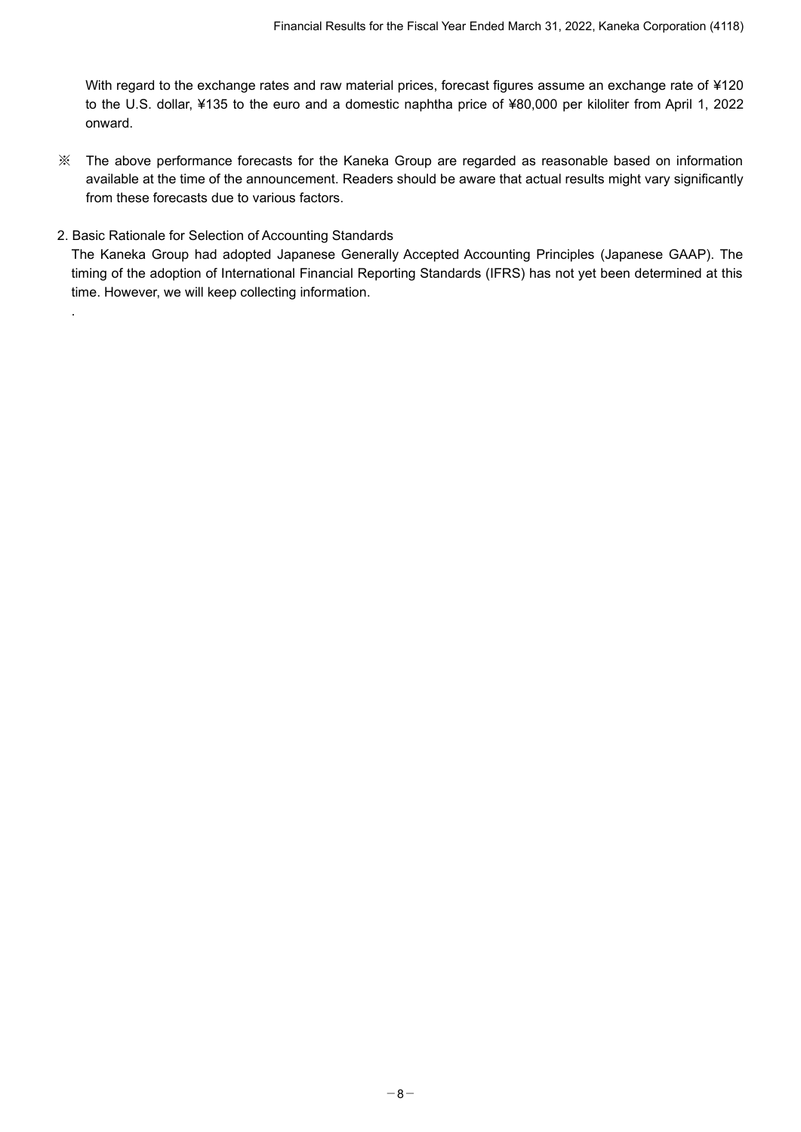With regard to the exchange rates and raw material prices, forecast figures assume an exchange rate of ¥120 to the U.S. dollar, ¥135 to the euro and a domestic naphtha price of ¥80,000 per kiloliter from April 1, 2022 onward.

- ※ The above performance forecasts for the Kaneka Group are regarded as reasonable based on information available at the time of the announcement. Readers should be aware that actual results might vary significantly from these forecasts due to various factors.
- 2. Basic Rationale for Selection of Accounting Standards

.

The Kaneka Group had adopted Japanese Generally Accepted Accounting Principles (Japanese GAAP). The timing of the adoption of International Financial Reporting Standards (IFRS) has not yet been determined at this time. However, we will keep collecting information.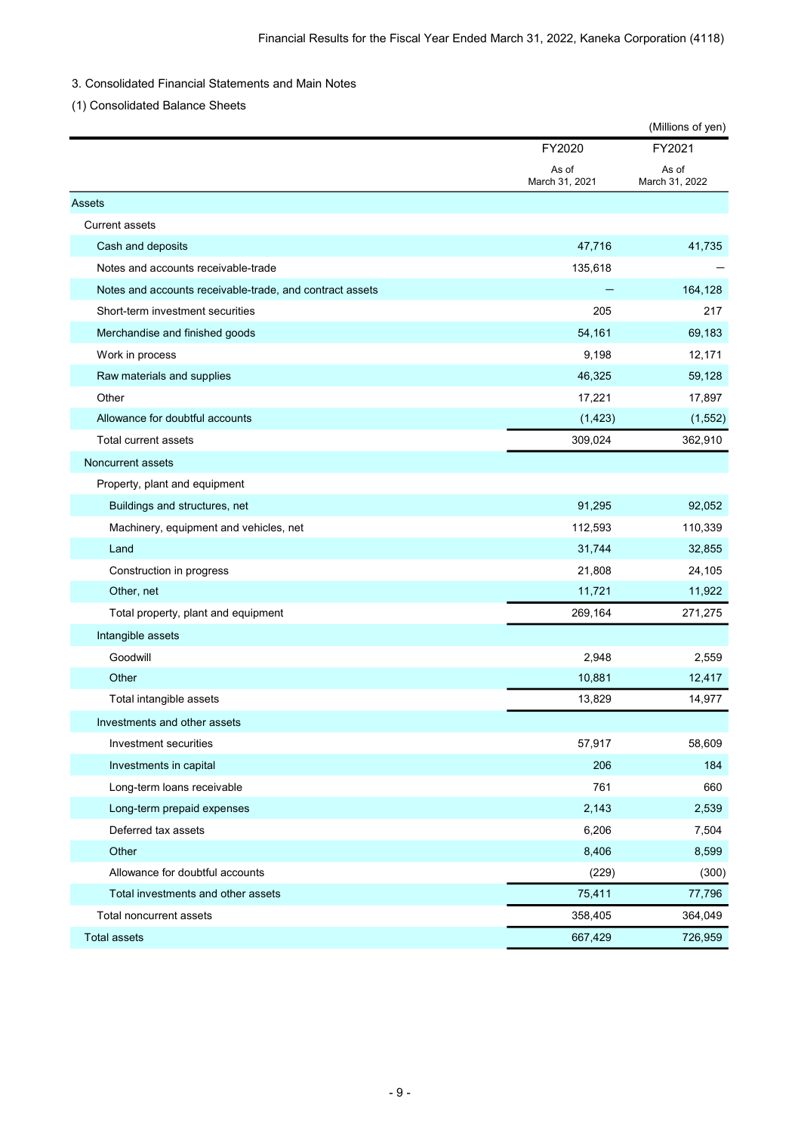### 3. Consolidated Financial Statements and Main Notes

(1) Consolidated Balance Sheets

|                                                          |                         | (Millions of yen)       |
|----------------------------------------------------------|-------------------------|-------------------------|
|                                                          | FY2020                  | FY2021                  |
|                                                          | As of<br>March 31, 2021 | As of<br>March 31, 2022 |
| Assets                                                   |                         |                         |
| <b>Current assets</b>                                    |                         |                         |
| Cash and deposits                                        | 47,716                  | 41,735                  |
| Notes and accounts receivable-trade                      | 135,618                 |                         |
| Notes and accounts receivable-trade, and contract assets |                         | 164,128                 |
| Short-term investment securities                         | 205                     | 217                     |
| Merchandise and finished goods                           | 54,161                  | 69,183                  |
| Work in process                                          | 9,198                   | 12,171                  |
| Raw materials and supplies                               | 46,325                  | 59,128                  |
| Other                                                    | 17,221                  | 17,897                  |
| Allowance for doubtful accounts                          | (1, 423)                | (1, 552)                |
| Total current assets                                     | 309,024                 | 362,910                 |
| Noncurrent assets                                        |                         |                         |
| Property, plant and equipment                            |                         |                         |
| Buildings and structures, net                            | 91,295                  | 92,052                  |
| Machinery, equipment and vehicles, net                   | 112,593                 | 110,339                 |
| Land                                                     | 31,744                  | 32,855                  |
| Construction in progress                                 | 21,808                  | 24,105                  |
| Other, net                                               | 11,721                  | 11,922                  |
| Total property, plant and equipment                      | 269,164                 | 271,275                 |
| Intangible assets                                        |                         |                         |
| Goodwill                                                 | 2,948                   | 2,559                   |
| Other                                                    | 10,881                  | 12,417                  |
| Total intangible assets                                  | 13,829                  | 14,977                  |
| Investments and other assets                             |                         |                         |
| Investment securities                                    | 57,917                  | 58,609                  |
| Investments in capital                                   | 206                     | 184                     |
| Long-term loans receivable                               | 761                     | 660                     |
| Long-term prepaid expenses                               | 2,143                   | 2,539                   |
| Deferred tax assets                                      | 6,206                   | 7,504                   |
| Other                                                    | 8,406                   | 8,599                   |
| Allowance for doubtful accounts                          | (229)                   | (300)                   |
| Total investments and other assets                       | 75,411                  | 77,796                  |
| Total noncurrent assets                                  | 358,405                 | 364,049                 |
| <b>Total assets</b>                                      | 667,429                 | 726,959                 |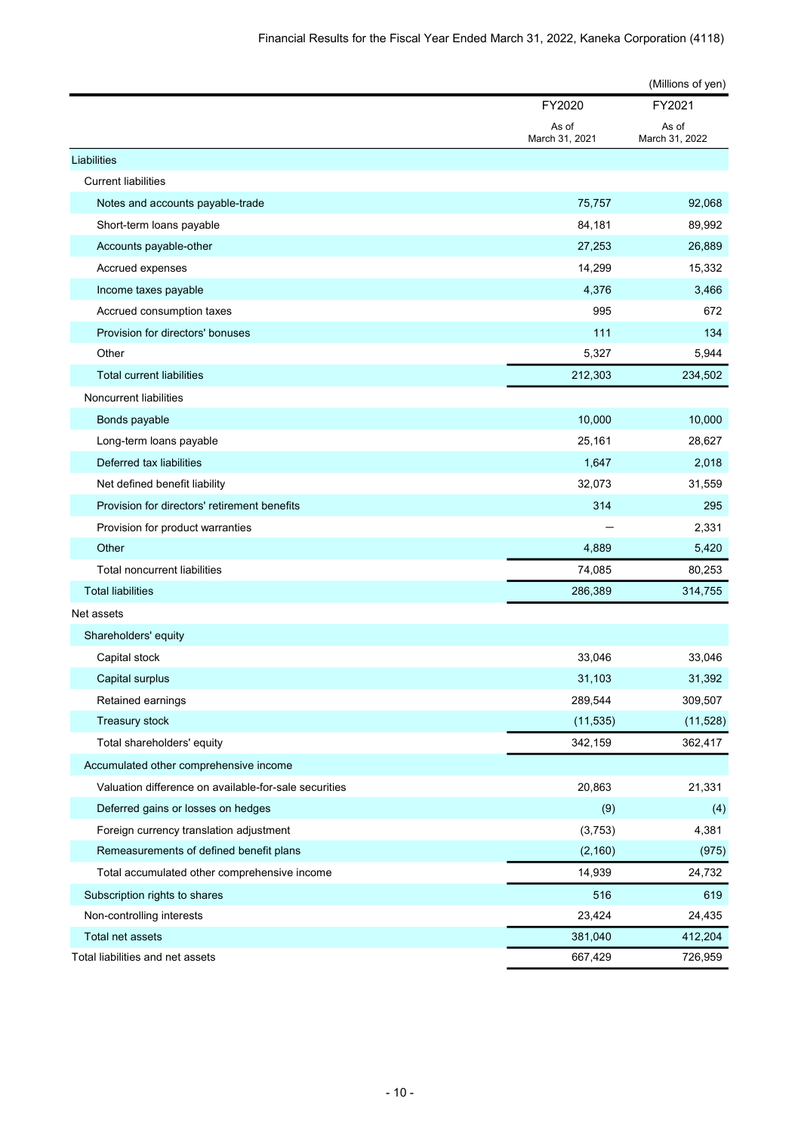|                                                       |                         | (Millions of yen)       |
|-------------------------------------------------------|-------------------------|-------------------------|
|                                                       | FY2020                  | FY2021                  |
|                                                       | As of<br>March 31, 2021 | As of<br>March 31, 2022 |
| Liabilities                                           |                         |                         |
| <b>Current liabilities</b>                            |                         |                         |
| Notes and accounts payable-trade                      | 75,757                  | 92,068                  |
| Short-term loans payable                              | 84,181                  | 89,992                  |
| Accounts payable-other                                | 27,253                  | 26,889                  |
| Accrued expenses                                      | 14,299                  | 15,332                  |
| Income taxes payable                                  | 4,376                   | 3,466                   |
| Accrued consumption taxes                             | 995                     | 672                     |
| Provision for directors' bonuses                      | 111                     | 134                     |
| Other                                                 | 5,327                   | 5,944                   |
| <b>Total current liabilities</b>                      | 212,303                 | 234,502                 |
| Noncurrent liabilities                                |                         |                         |
| Bonds payable                                         | 10,000                  | 10,000                  |
| Long-term loans payable                               | 25,161                  | 28,627                  |
| Deferred tax liabilities                              | 1,647                   | 2,018                   |
| Net defined benefit liability                         | 32,073                  | 31,559                  |
| Provision for directors' retirement benefits          | 314                     | 295                     |
| Provision for product warranties                      |                         | 2,331                   |
| Other                                                 | 4,889                   | 5,420                   |
| Total noncurrent liabilities                          | 74,085                  | 80,253                  |
| <b>Total liabilities</b>                              | 286,389                 | 314,755                 |
| Net assets                                            |                         |                         |
| Shareholders' equity                                  |                         |                         |
| Capital stock                                         | 33,046                  | 33,046                  |
| Capital surplus                                       | 31,103                  | 31,392                  |
| Retained earnings                                     | 289,544                 | 309,507                 |
| Treasury stock                                        | (11, 535)               | (11, 528)               |
| Total shareholders' equity                            | 342,159                 | 362,417                 |
| Accumulated other comprehensive income                |                         |                         |
| Valuation difference on available-for-sale securities | 20,863                  | 21,331                  |
| Deferred gains or losses on hedges                    | (9)                     | (4)                     |
| Foreign currency translation adjustment               | (3, 753)                | 4,381                   |
| Remeasurements of defined benefit plans               | (2, 160)                | (975)                   |
| Total accumulated other comprehensive income          | 14,939                  | 24,732                  |
| Subscription rights to shares                         | 516                     | 619                     |
| Non-controlling interests                             | 23,424                  | 24,435                  |
| Total net assets                                      | 381,040                 | 412,204                 |
| Total liabilities and net assets                      | 667,429                 | 726,959                 |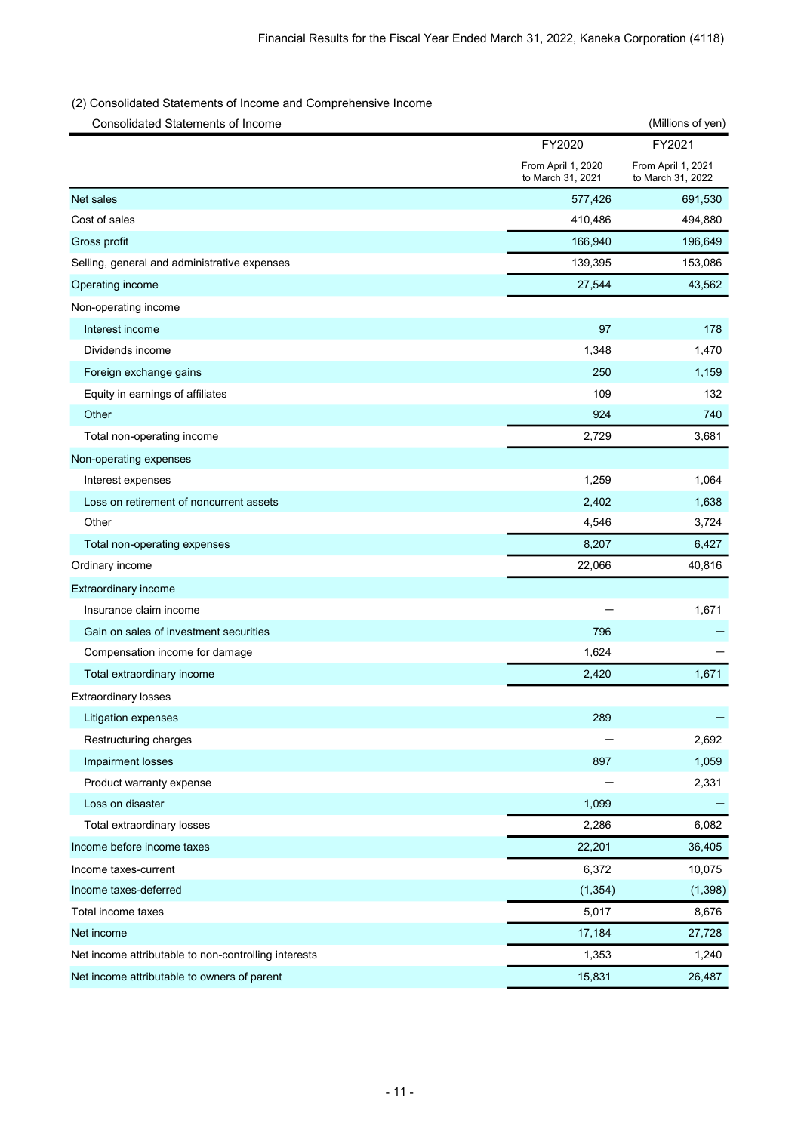# (2) Consolidated Statements of Income and Comprehensive Income

| <b>Consolidated Statements of Income</b>             |                                         | (Millions of yen)                       |
|------------------------------------------------------|-----------------------------------------|-----------------------------------------|
|                                                      | FY2020                                  | FY2021                                  |
|                                                      | From April 1, 2020<br>to March 31, 2021 | From April 1, 2021<br>to March 31, 2022 |
| Net sales                                            | 577,426                                 | 691,530                                 |
| Cost of sales                                        | 410,486                                 | 494,880                                 |
| Gross profit                                         | 166,940                                 | 196,649                                 |
| Selling, general and administrative expenses         | 139,395                                 | 153,086                                 |
| Operating income                                     | 27,544                                  | 43,562                                  |
| Non-operating income                                 |                                         |                                         |
| Interest income                                      | 97                                      | 178                                     |
| Dividends income                                     | 1,348                                   | 1,470                                   |
| Foreign exchange gains                               | 250                                     | 1,159                                   |
| Equity in earnings of affiliates                     | 109                                     | 132                                     |
| Other                                                | 924                                     | 740                                     |
| Total non-operating income                           | 2,729                                   | 3,681                                   |
| Non-operating expenses                               |                                         |                                         |
| Interest expenses                                    | 1,259                                   | 1,064                                   |
| Loss on retirement of noncurrent assets              | 2,402                                   | 1,638                                   |
| Other                                                | 4,546                                   | 3,724                                   |
| Total non-operating expenses                         | 8,207                                   | 6,427                                   |
| Ordinary income                                      | 22,066                                  | 40,816                                  |
| Extraordinary income                                 |                                         |                                         |
| Insurance claim income                               |                                         | 1,671                                   |
| Gain on sales of investment securities               | 796                                     |                                         |
| Compensation income for damage                       | 1,624                                   |                                         |
| Total extraordinary income                           | 2,420                                   | 1,671                                   |
| <b>Extraordinary losses</b>                          |                                         |                                         |
| Litigation expenses                                  | 289                                     |                                         |
| Restructuring charges                                |                                         | 2,692                                   |
| Impairment losses                                    | 897                                     | 1,059                                   |
| Product warranty expense                             |                                         | 2,331                                   |
| Loss on disaster                                     | 1,099                                   |                                         |
| Total extraordinary losses                           | 2,286                                   | 6,082                                   |
| Income before income taxes                           | 22,201                                  | 36,405                                  |
| Income taxes-current                                 | 6,372                                   | 10,075                                  |
| Income taxes-deferred                                | (1, 354)                                | (1, 398)                                |
| Total income taxes                                   | 5,017                                   | 8,676                                   |
| Net income                                           | 17,184                                  | 27,728                                  |
| Net income attributable to non-controlling interests | 1,353                                   | 1,240                                   |
| Net income attributable to owners of parent          | 15,831                                  | 26,487                                  |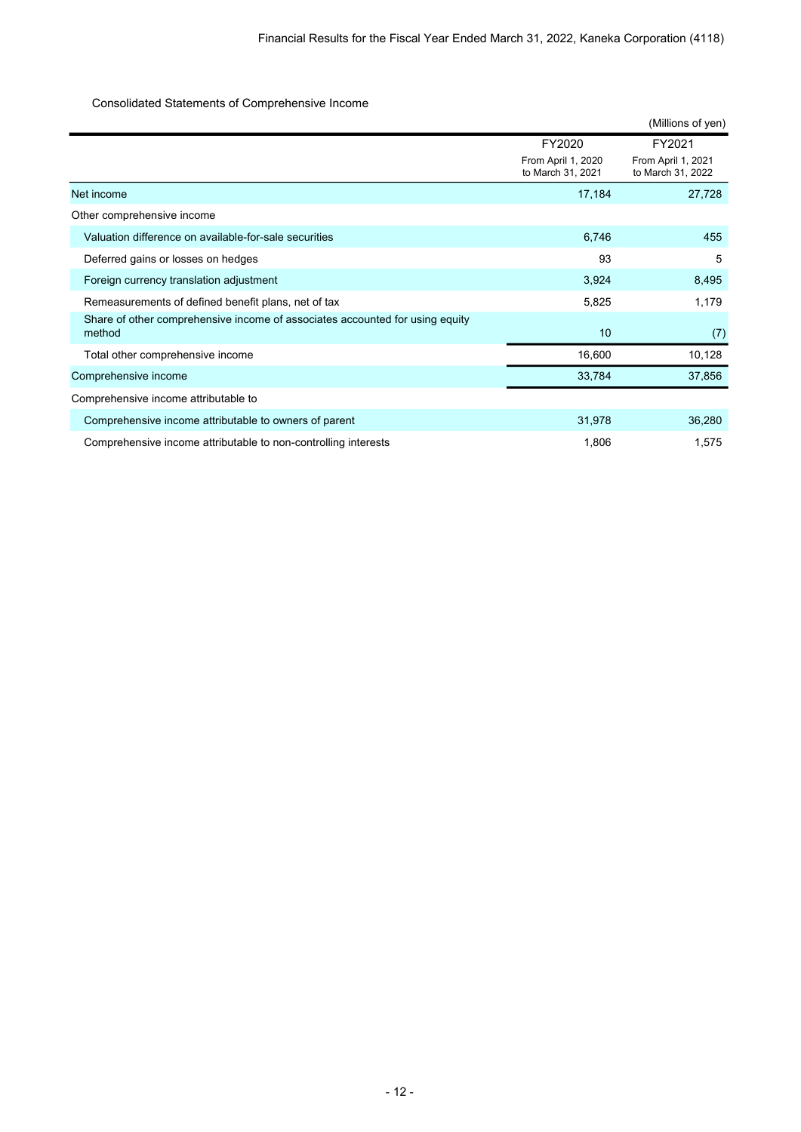### Consolidated Statements of Comprehensive Income

|                                                                                        |                                         | (Millions of yen)                       |
|----------------------------------------------------------------------------------------|-----------------------------------------|-----------------------------------------|
|                                                                                        | FY2020                                  | FY2021                                  |
|                                                                                        | From April 1, 2020<br>to March 31, 2021 | From April 1, 2021<br>to March 31, 2022 |
| Net income                                                                             | 17,184                                  | 27,728                                  |
| Other comprehensive income                                                             |                                         |                                         |
| Valuation difference on available-for-sale securities                                  | 6,746                                   | 455                                     |
| Deferred gains or losses on hedges                                                     | 93                                      | 5                                       |
| Foreign currency translation adjustment                                                | 3,924                                   | 8,495                                   |
| Remeasurements of defined benefit plans, net of tax                                    | 5,825                                   | 1,179                                   |
| Share of other comprehensive income of associates accounted for using equity<br>method | 10                                      | (7)                                     |
| Total other comprehensive income                                                       | 16,600                                  | 10,128                                  |
| Comprehensive income                                                                   | 33,784                                  | 37,856                                  |
| Comprehensive income attributable to                                                   |                                         |                                         |
| Comprehensive income attributable to owners of parent                                  | 31,978                                  | 36,280                                  |
| Comprehensive income attributable to non-controlling interests                         | 1,806                                   | 1,575                                   |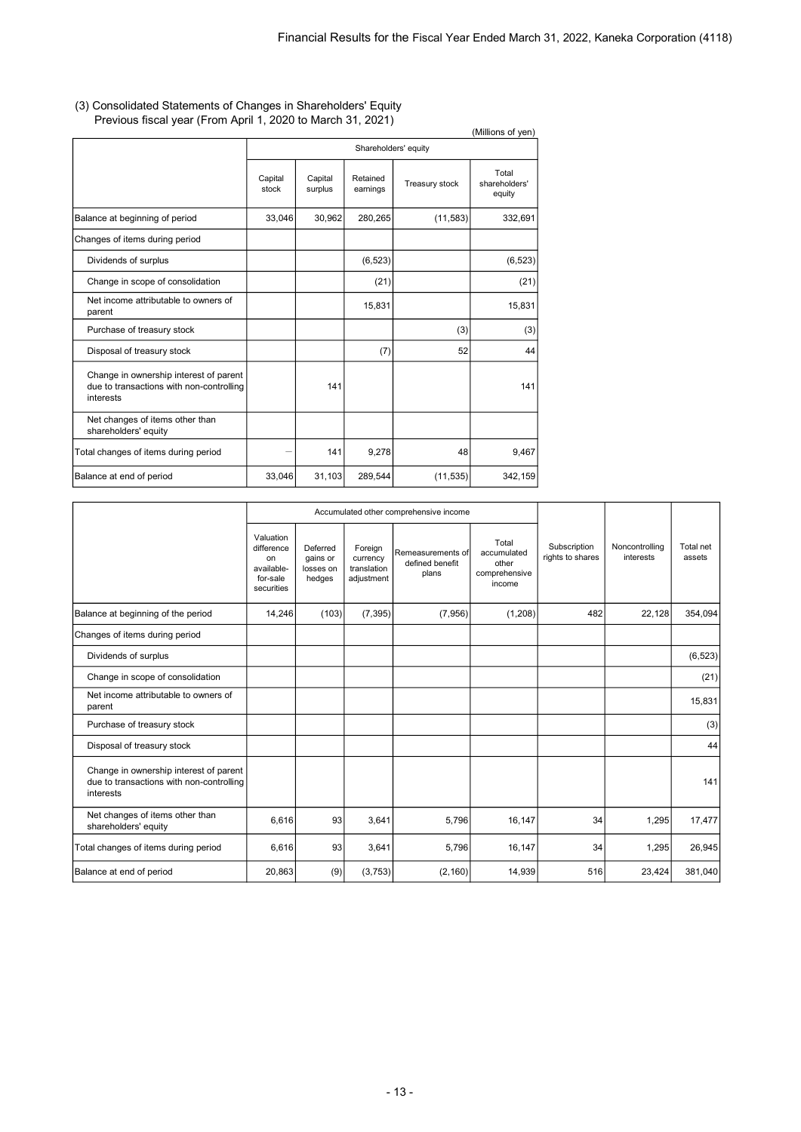#### (3) Consolidated Statements of Changes in Shareholders' Equity Previous fiscal year (From April 1, 2020 to March 31, 2021)

|                                                                                                 |                  |                    |                      |                | (Millions of yen)                |
|-------------------------------------------------------------------------------------------------|------------------|--------------------|----------------------|----------------|----------------------------------|
|                                                                                                 |                  |                    | Shareholders' equity |                |                                  |
|                                                                                                 | Capital<br>stock | Capital<br>surplus | Retained<br>earnings | Treasury stock | Total<br>shareholders'<br>equity |
| Balance at beginning of period                                                                  | 33,046           | 30,962             | 280,265              | (11, 583)      | 332,691                          |
| Changes of items during period                                                                  |                  |                    |                      |                |                                  |
| Dividends of surplus                                                                            |                  |                    | (6, 523)             |                | (6, 523)                         |
| Change in scope of consolidation                                                                |                  |                    | (21)                 |                | (21)                             |
| Net income attributable to owners of<br>parent                                                  |                  |                    | 15,831               |                | 15,831                           |
| Purchase of treasury stock                                                                      |                  |                    |                      | (3)            | (3)                              |
| Disposal of treasury stock                                                                      |                  |                    | (7)                  | 52             | 44                               |
| Change in ownership interest of parent<br>due to transactions with non-controlling<br>interests |                  | 141                |                      |                | 141                              |
| Net changes of items other than<br>shareholders' equity                                         |                  |                    |                      |                |                                  |
| Total changes of items during period                                                            |                  | 141                | 9,278                | 48             | 9,467                            |
| Balance at end of period                                                                        | 33,046           | 31,103             | 289,544              | (11, 535)      | 342,159                          |

|                                                                                                 |                                                                       |                                             |                                                  | Accumulated other comprehensive income        |                                                          |                                  |                             |                     |
|-------------------------------------------------------------------------------------------------|-----------------------------------------------------------------------|---------------------------------------------|--------------------------------------------------|-----------------------------------------------|----------------------------------------------------------|----------------------------------|-----------------------------|---------------------|
|                                                                                                 | Valuation<br>difference<br>on<br>available-<br>for-sale<br>securities | Deferred<br>gains or<br>losses on<br>hedges | Foreign<br>currency<br>translation<br>adjustment | Remeasurements of<br>defined benefit<br>plans | Total<br>accumulated<br>other<br>comprehensive<br>income | Subscription<br>rights to shares | Noncontrolling<br>interests | Total net<br>assets |
| Balance at beginning of the period                                                              | 14,246                                                                | (103)                                       | (7, 395)                                         | (7,956)                                       | (1,208)                                                  | 482                              | 22,128                      | 354,094             |
| Changes of items during period                                                                  |                                                                       |                                             |                                                  |                                               |                                                          |                                  |                             |                     |
| Dividends of surplus                                                                            |                                                                       |                                             |                                                  |                                               |                                                          |                                  |                             | (6, 523)            |
| Change in scope of consolidation                                                                |                                                                       |                                             |                                                  |                                               |                                                          |                                  |                             | (21)                |
| Net income attributable to owners of<br>parent                                                  |                                                                       |                                             |                                                  |                                               |                                                          |                                  |                             | 15,831              |
| Purchase of treasury stock                                                                      |                                                                       |                                             |                                                  |                                               |                                                          |                                  |                             | (3)                 |
| Disposal of treasury stock                                                                      |                                                                       |                                             |                                                  |                                               |                                                          |                                  |                             | 44                  |
| Change in ownership interest of parent<br>due to transactions with non-controlling<br>interests |                                                                       |                                             |                                                  |                                               |                                                          |                                  |                             | 141                 |
| Net changes of items other than<br>shareholders' equity                                         | 6,616                                                                 | 93                                          | 3,641                                            | 5,796                                         | 16,147                                                   | 34                               | 1,295                       | 17,477              |
| Total changes of items during period                                                            | 6,616                                                                 | 93                                          | 3,641                                            | 5,796                                         | 16,147                                                   | 34                               | 1,295                       | 26,945              |
| Balance at end of period                                                                        | 20,863                                                                | (9)                                         | (3,753)                                          | (2, 160)                                      | 14,939                                                   | 516                              | 23,424                      | 381,040             |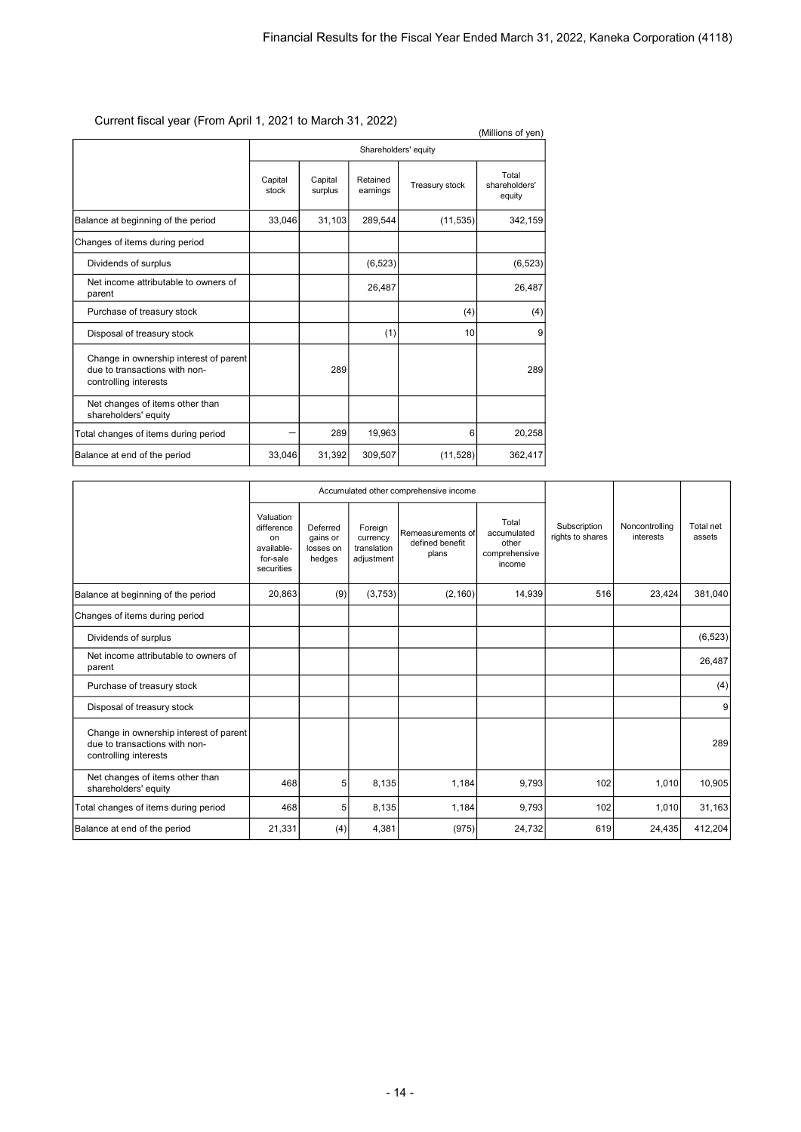# Current fiscal year (From April 1, 2021 to March 31, 2022)

| Current ilscar year (Front April 1, 2021 to March 31, 2022)                                      |                      |                    |                      |                | (Millions of yen)                |  |
|--------------------------------------------------------------------------------------------------|----------------------|--------------------|----------------------|----------------|----------------------------------|--|
|                                                                                                  | Shareholders' equity |                    |                      |                |                                  |  |
|                                                                                                  | Capital<br>stock     | Capital<br>surplus | Retained<br>earnings | Treasury stock | Total<br>shareholders'<br>equity |  |
| Balance at beginning of the period                                                               | 33,046               | 31,103             | 289,544              | (11, 535)      | 342,159                          |  |
| Changes of items during period                                                                   |                      |                    |                      |                |                                  |  |
| Dividends of surplus                                                                             |                      |                    | (6, 523)             |                | (6, 523)                         |  |
| Net income attributable to owners of<br>parent                                                   |                      |                    | 26,487               |                | 26,487                           |  |
| Purchase of treasury stock                                                                       |                      |                    |                      | (4)            | (4)                              |  |
| Disposal of treasury stock                                                                       |                      |                    | (1)                  | 10             | 9                                |  |
| Change in ownership interest of parent<br>due to transactions with non-<br>controlling interests |                      | 289                |                      |                | 289                              |  |
| Net changes of items other than<br>shareholders' equity                                          |                      |                    |                      |                |                                  |  |
| Total changes of items during period                                                             |                      | 289                | 19,963               | 6              | 20,258                           |  |
| Balance at end of the period                                                                     | 33,046               | 31,392             | 309,507              | (11, 528)      | 362,417                          |  |

|                                                                                                  |                                                                       |                                             |                                                  | Accumulated other comprehensive income        |                                                          |                                  |                             |                     |
|--------------------------------------------------------------------------------------------------|-----------------------------------------------------------------------|---------------------------------------------|--------------------------------------------------|-----------------------------------------------|----------------------------------------------------------|----------------------------------|-----------------------------|---------------------|
|                                                                                                  | Valuation<br>difference<br>on<br>available-<br>for-sale<br>securities | Deferred<br>gains or<br>losses on<br>hedges | Foreign<br>currency<br>translation<br>adjustment | Remeasurements of<br>defined benefit<br>plans | Total<br>accumulated<br>other<br>comprehensive<br>income | Subscription<br>rights to shares | Noncontrolling<br>interests | Total net<br>assets |
| Balance at beginning of the period                                                               | 20,863                                                                | (9)                                         | (3,753)                                          | (2, 160)                                      | 14,939                                                   | 516                              | 23,424                      | 381,040             |
| Changes of items during period                                                                   |                                                                       |                                             |                                                  |                                               |                                                          |                                  |                             |                     |
| Dividends of surplus                                                                             |                                                                       |                                             |                                                  |                                               |                                                          |                                  |                             | (6, 523)            |
| Net income attributable to owners of<br>parent                                                   |                                                                       |                                             |                                                  |                                               |                                                          |                                  |                             | 26,487              |
| Purchase of treasury stock                                                                       |                                                                       |                                             |                                                  |                                               |                                                          |                                  |                             | (4)                 |
| Disposal of treasury stock                                                                       |                                                                       |                                             |                                                  |                                               |                                                          |                                  |                             | 9                   |
| Change in ownership interest of parent<br>due to transactions with non-<br>controlling interests |                                                                       |                                             |                                                  |                                               |                                                          |                                  |                             | 289                 |
| Net changes of items other than<br>shareholders' equity                                          | 468                                                                   | 5                                           | 8,135                                            | 1,184                                         | 9,793                                                    | 102                              | 1,010                       | 10,905              |
| Total changes of items during period                                                             | 468                                                                   | 5                                           | 8,135                                            | 1,184                                         | 9,793                                                    | 102                              | 1,010                       | 31,163              |
| Balance at end of the period                                                                     | 21,331                                                                | (4)                                         | 4,381                                            | (975)                                         | 24,732                                                   | 619                              | 24,435                      | 412,204             |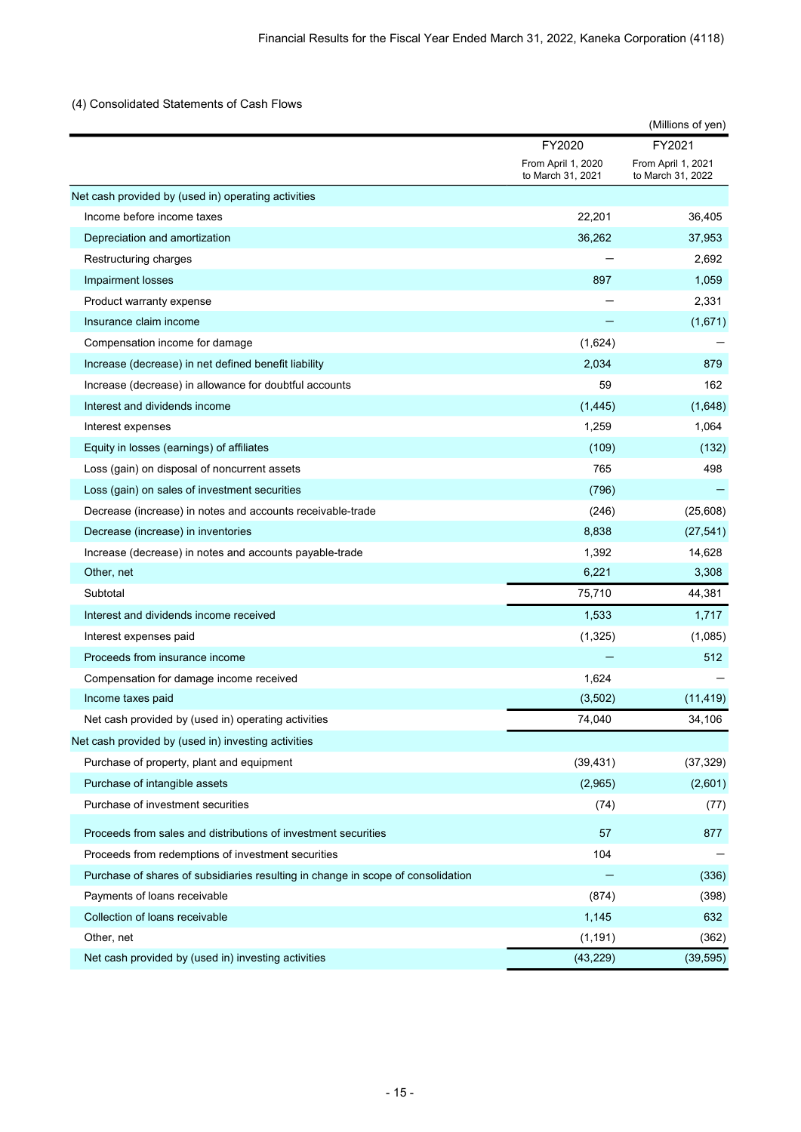# (4) Consolidated Statements of Cash Flows

| FY2021<br>FY2020<br>From April 1, 2020<br>From April 1, 2021<br>to March 31, 2021<br>to March 31, 2022<br>Net cash provided by (used in) operating activities<br>Income before income taxes<br>22,201<br>36,405<br>Depreciation and amortization<br>36,262<br>37,953<br>2,692<br>Restructuring charges<br>897<br>1,059<br>Impairment losses<br>2,331<br>Product warranty expense<br>Insurance claim income<br>(1,671)<br>(1,624)<br>Compensation income for damage<br>2,034<br>879<br>Increase (decrease) in net defined benefit liability<br>Increase (decrease) in allowance for doubtful accounts<br>59<br>162<br>Interest and dividends income<br>(1, 445)<br>(1,648)<br>1,259<br>1,064<br>Interest expenses<br>Equity in losses (earnings) of affiliates<br>(109)<br>(132)<br>765<br>Loss (gain) on disposal of noncurrent assets<br>498<br>Loss (gain) on sales of investment securities<br>(796)<br>(25,608)<br>Decrease (increase) in notes and accounts receivable-trade<br>(246)<br>8,838<br>Decrease (increase) in inventories<br>(27, 541)<br>1,392<br>14,628<br>Increase (decrease) in notes and accounts payable-trade<br>Other, net<br>6,221<br>3,308<br>Subtotal<br>75,710<br>44,381<br>Interest and dividends income received<br>1,533<br>1,717<br>(1,325)<br>Interest expenses paid<br>(1,085)<br>Proceeds from insurance income<br>512<br>1,624<br>Compensation for damage income received<br>(3,502)<br>Income taxes paid<br>(11, 419)<br>Net cash provided by (used in) operating activities<br>74,040<br>34,106<br>Net cash provided by (used in) investing activities<br>Purchase of property, plant and equipment<br>(39, 431)<br>(37, 329)<br>Purchase of intangible assets<br>(2,965)<br>(2,601)<br>Purchase of investment securities<br>(74)<br>(77)<br>Proceeds from sales and distributions of investment securities<br>57<br>877<br>104<br>Proceeds from redemptions of investment securities<br>Purchase of shares of subsidiaries resulting in change in scope of consolidation<br>(336)<br>Payments of loans receivable<br>(874)<br>(398)<br>Collection of loans receivable<br>1,145<br>632<br>Other, net<br>(1, 191)<br>(362)<br>Net cash provided by (used in) investing activities<br>(43, 229)<br>(39, 595) |  | (Millions of yen) |
|--------------------------------------------------------------------------------------------------------------------------------------------------------------------------------------------------------------------------------------------------------------------------------------------------------------------------------------------------------------------------------------------------------------------------------------------------------------------------------------------------------------------------------------------------------------------------------------------------------------------------------------------------------------------------------------------------------------------------------------------------------------------------------------------------------------------------------------------------------------------------------------------------------------------------------------------------------------------------------------------------------------------------------------------------------------------------------------------------------------------------------------------------------------------------------------------------------------------------------------------------------------------------------------------------------------------------------------------------------------------------------------------------------------------------------------------------------------------------------------------------------------------------------------------------------------------------------------------------------------------------------------------------------------------------------------------------------------------------------------------------------------------------------------------------------------------------------------------------------------------------------------------------------------------------------------------------------------------------------------------------------------------------------------------------------------------------------------------------------------------------------------------------------------------------------------------------------------------------------------------------|--|-------------------|
|                                                                                                                                                                                                                                                                                                                                                                                                                                                                                                                                                                                                                                                                                                                                                                                                                                                                                                                                                                                                                                                                                                                                                                                                                                                                                                                                                                                                                                                                                                                                                                                                                                                                                                                                                                                                                                                                                                                                                                                                                                                                                                                                                                                                                                                  |  |                   |
|                                                                                                                                                                                                                                                                                                                                                                                                                                                                                                                                                                                                                                                                                                                                                                                                                                                                                                                                                                                                                                                                                                                                                                                                                                                                                                                                                                                                                                                                                                                                                                                                                                                                                                                                                                                                                                                                                                                                                                                                                                                                                                                                                                                                                                                  |  |                   |
|                                                                                                                                                                                                                                                                                                                                                                                                                                                                                                                                                                                                                                                                                                                                                                                                                                                                                                                                                                                                                                                                                                                                                                                                                                                                                                                                                                                                                                                                                                                                                                                                                                                                                                                                                                                                                                                                                                                                                                                                                                                                                                                                                                                                                                                  |  |                   |
|                                                                                                                                                                                                                                                                                                                                                                                                                                                                                                                                                                                                                                                                                                                                                                                                                                                                                                                                                                                                                                                                                                                                                                                                                                                                                                                                                                                                                                                                                                                                                                                                                                                                                                                                                                                                                                                                                                                                                                                                                                                                                                                                                                                                                                                  |  |                   |
|                                                                                                                                                                                                                                                                                                                                                                                                                                                                                                                                                                                                                                                                                                                                                                                                                                                                                                                                                                                                                                                                                                                                                                                                                                                                                                                                                                                                                                                                                                                                                                                                                                                                                                                                                                                                                                                                                                                                                                                                                                                                                                                                                                                                                                                  |  |                   |
|                                                                                                                                                                                                                                                                                                                                                                                                                                                                                                                                                                                                                                                                                                                                                                                                                                                                                                                                                                                                                                                                                                                                                                                                                                                                                                                                                                                                                                                                                                                                                                                                                                                                                                                                                                                                                                                                                                                                                                                                                                                                                                                                                                                                                                                  |  |                   |
|                                                                                                                                                                                                                                                                                                                                                                                                                                                                                                                                                                                                                                                                                                                                                                                                                                                                                                                                                                                                                                                                                                                                                                                                                                                                                                                                                                                                                                                                                                                                                                                                                                                                                                                                                                                                                                                                                                                                                                                                                                                                                                                                                                                                                                                  |  |                   |
|                                                                                                                                                                                                                                                                                                                                                                                                                                                                                                                                                                                                                                                                                                                                                                                                                                                                                                                                                                                                                                                                                                                                                                                                                                                                                                                                                                                                                                                                                                                                                                                                                                                                                                                                                                                                                                                                                                                                                                                                                                                                                                                                                                                                                                                  |  |                   |
|                                                                                                                                                                                                                                                                                                                                                                                                                                                                                                                                                                                                                                                                                                                                                                                                                                                                                                                                                                                                                                                                                                                                                                                                                                                                                                                                                                                                                                                                                                                                                                                                                                                                                                                                                                                                                                                                                                                                                                                                                                                                                                                                                                                                                                                  |  |                   |
|                                                                                                                                                                                                                                                                                                                                                                                                                                                                                                                                                                                                                                                                                                                                                                                                                                                                                                                                                                                                                                                                                                                                                                                                                                                                                                                                                                                                                                                                                                                                                                                                                                                                                                                                                                                                                                                                                                                                                                                                                                                                                                                                                                                                                                                  |  |                   |
|                                                                                                                                                                                                                                                                                                                                                                                                                                                                                                                                                                                                                                                                                                                                                                                                                                                                                                                                                                                                                                                                                                                                                                                                                                                                                                                                                                                                                                                                                                                                                                                                                                                                                                                                                                                                                                                                                                                                                                                                                                                                                                                                                                                                                                                  |  |                   |
|                                                                                                                                                                                                                                                                                                                                                                                                                                                                                                                                                                                                                                                                                                                                                                                                                                                                                                                                                                                                                                                                                                                                                                                                                                                                                                                                                                                                                                                                                                                                                                                                                                                                                                                                                                                                                                                                                                                                                                                                                                                                                                                                                                                                                                                  |  |                   |
|                                                                                                                                                                                                                                                                                                                                                                                                                                                                                                                                                                                                                                                                                                                                                                                                                                                                                                                                                                                                                                                                                                                                                                                                                                                                                                                                                                                                                                                                                                                                                                                                                                                                                                                                                                                                                                                                                                                                                                                                                                                                                                                                                                                                                                                  |  |                   |
|                                                                                                                                                                                                                                                                                                                                                                                                                                                                                                                                                                                                                                                                                                                                                                                                                                                                                                                                                                                                                                                                                                                                                                                                                                                                                                                                                                                                                                                                                                                                                                                                                                                                                                                                                                                                                                                                                                                                                                                                                                                                                                                                                                                                                                                  |  |                   |
|                                                                                                                                                                                                                                                                                                                                                                                                                                                                                                                                                                                                                                                                                                                                                                                                                                                                                                                                                                                                                                                                                                                                                                                                                                                                                                                                                                                                                                                                                                                                                                                                                                                                                                                                                                                                                                                                                                                                                                                                                                                                                                                                                                                                                                                  |  |                   |
|                                                                                                                                                                                                                                                                                                                                                                                                                                                                                                                                                                                                                                                                                                                                                                                                                                                                                                                                                                                                                                                                                                                                                                                                                                                                                                                                                                                                                                                                                                                                                                                                                                                                                                                                                                                                                                                                                                                                                                                                                                                                                                                                                                                                                                                  |  |                   |
|                                                                                                                                                                                                                                                                                                                                                                                                                                                                                                                                                                                                                                                                                                                                                                                                                                                                                                                                                                                                                                                                                                                                                                                                                                                                                                                                                                                                                                                                                                                                                                                                                                                                                                                                                                                                                                                                                                                                                                                                                                                                                                                                                                                                                                                  |  |                   |
|                                                                                                                                                                                                                                                                                                                                                                                                                                                                                                                                                                                                                                                                                                                                                                                                                                                                                                                                                                                                                                                                                                                                                                                                                                                                                                                                                                                                                                                                                                                                                                                                                                                                                                                                                                                                                                                                                                                                                                                                                                                                                                                                                                                                                                                  |  |                   |
|                                                                                                                                                                                                                                                                                                                                                                                                                                                                                                                                                                                                                                                                                                                                                                                                                                                                                                                                                                                                                                                                                                                                                                                                                                                                                                                                                                                                                                                                                                                                                                                                                                                                                                                                                                                                                                                                                                                                                                                                                                                                                                                                                                                                                                                  |  |                   |
|                                                                                                                                                                                                                                                                                                                                                                                                                                                                                                                                                                                                                                                                                                                                                                                                                                                                                                                                                                                                                                                                                                                                                                                                                                                                                                                                                                                                                                                                                                                                                                                                                                                                                                                                                                                                                                                                                                                                                                                                                                                                                                                                                                                                                                                  |  |                   |
|                                                                                                                                                                                                                                                                                                                                                                                                                                                                                                                                                                                                                                                                                                                                                                                                                                                                                                                                                                                                                                                                                                                                                                                                                                                                                                                                                                                                                                                                                                                                                                                                                                                                                                                                                                                                                                                                                                                                                                                                                                                                                                                                                                                                                                                  |  |                   |
|                                                                                                                                                                                                                                                                                                                                                                                                                                                                                                                                                                                                                                                                                                                                                                                                                                                                                                                                                                                                                                                                                                                                                                                                                                                                                                                                                                                                                                                                                                                                                                                                                                                                                                                                                                                                                                                                                                                                                                                                                                                                                                                                                                                                                                                  |  |                   |
|                                                                                                                                                                                                                                                                                                                                                                                                                                                                                                                                                                                                                                                                                                                                                                                                                                                                                                                                                                                                                                                                                                                                                                                                                                                                                                                                                                                                                                                                                                                                                                                                                                                                                                                                                                                                                                                                                                                                                                                                                                                                                                                                                                                                                                                  |  |                   |
|                                                                                                                                                                                                                                                                                                                                                                                                                                                                                                                                                                                                                                                                                                                                                                                                                                                                                                                                                                                                                                                                                                                                                                                                                                                                                                                                                                                                                                                                                                                                                                                                                                                                                                                                                                                                                                                                                                                                                                                                                                                                                                                                                                                                                                                  |  |                   |
|                                                                                                                                                                                                                                                                                                                                                                                                                                                                                                                                                                                                                                                                                                                                                                                                                                                                                                                                                                                                                                                                                                                                                                                                                                                                                                                                                                                                                                                                                                                                                                                                                                                                                                                                                                                                                                                                                                                                                                                                                                                                                                                                                                                                                                                  |  |                   |
|                                                                                                                                                                                                                                                                                                                                                                                                                                                                                                                                                                                                                                                                                                                                                                                                                                                                                                                                                                                                                                                                                                                                                                                                                                                                                                                                                                                                                                                                                                                                                                                                                                                                                                                                                                                                                                                                                                                                                                                                                                                                                                                                                                                                                                                  |  |                   |
|                                                                                                                                                                                                                                                                                                                                                                                                                                                                                                                                                                                                                                                                                                                                                                                                                                                                                                                                                                                                                                                                                                                                                                                                                                                                                                                                                                                                                                                                                                                                                                                                                                                                                                                                                                                                                                                                                                                                                                                                                                                                                                                                                                                                                                                  |  |                   |
|                                                                                                                                                                                                                                                                                                                                                                                                                                                                                                                                                                                                                                                                                                                                                                                                                                                                                                                                                                                                                                                                                                                                                                                                                                                                                                                                                                                                                                                                                                                                                                                                                                                                                                                                                                                                                                                                                                                                                                                                                                                                                                                                                                                                                                                  |  |                   |
|                                                                                                                                                                                                                                                                                                                                                                                                                                                                                                                                                                                                                                                                                                                                                                                                                                                                                                                                                                                                                                                                                                                                                                                                                                                                                                                                                                                                                                                                                                                                                                                                                                                                                                                                                                                                                                                                                                                                                                                                                                                                                                                                                                                                                                                  |  |                   |
|                                                                                                                                                                                                                                                                                                                                                                                                                                                                                                                                                                                                                                                                                                                                                                                                                                                                                                                                                                                                                                                                                                                                                                                                                                                                                                                                                                                                                                                                                                                                                                                                                                                                                                                                                                                                                                                                                                                                                                                                                                                                                                                                                                                                                                                  |  |                   |
|                                                                                                                                                                                                                                                                                                                                                                                                                                                                                                                                                                                                                                                                                                                                                                                                                                                                                                                                                                                                                                                                                                                                                                                                                                                                                                                                                                                                                                                                                                                                                                                                                                                                                                                                                                                                                                                                                                                                                                                                                                                                                                                                                                                                                                                  |  |                   |
|                                                                                                                                                                                                                                                                                                                                                                                                                                                                                                                                                                                                                                                                                                                                                                                                                                                                                                                                                                                                                                                                                                                                                                                                                                                                                                                                                                                                                                                                                                                                                                                                                                                                                                                                                                                                                                                                                                                                                                                                                                                                                                                                                                                                                                                  |  |                   |
|                                                                                                                                                                                                                                                                                                                                                                                                                                                                                                                                                                                                                                                                                                                                                                                                                                                                                                                                                                                                                                                                                                                                                                                                                                                                                                                                                                                                                                                                                                                                                                                                                                                                                                                                                                                                                                                                                                                                                                                                                                                                                                                                                                                                                                                  |  |                   |
|                                                                                                                                                                                                                                                                                                                                                                                                                                                                                                                                                                                                                                                                                                                                                                                                                                                                                                                                                                                                                                                                                                                                                                                                                                                                                                                                                                                                                                                                                                                                                                                                                                                                                                                                                                                                                                                                                                                                                                                                                                                                                                                                                                                                                                                  |  |                   |
|                                                                                                                                                                                                                                                                                                                                                                                                                                                                                                                                                                                                                                                                                                                                                                                                                                                                                                                                                                                                                                                                                                                                                                                                                                                                                                                                                                                                                                                                                                                                                                                                                                                                                                                                                                                                                                                                                                                                                                                                                                                                                                                                                                                                                                                  |  |                   |
|                                                                                                                                                                                                                                                                                                                                                                                                                                                                                                                                                                                                                                                                                                                                                                                                                                                                                                                                                                                                                                                                                                                                                                                                                                                                                                                                                                                                                                                                                                                                                                                                                                                                                                                                                                                                                                                                                                                                                                                                                                                                                                                                                                                                                                                  |  |                   |
|                                                                                                                                                                                                                                                                                                                                                                                                                                                                                                                                                                                                                                                                                                                                                                                                                                                                                                                                                                                                                                                                                                                                                                                                                                                                                                                                                                                                                                                                                                                                                                                                                                                                                                                                                                                                                                                                                                                                                                                                                                                                                                                                                                                                                                                  |  |                   |
|                                                                                                                                                                                                                                                                                                                                                                                                                                                                                                                                                                                                                                                                                                                                                                                                                                                                                                                                                                                                                                                                                                                                                                                                                                                                                                                                                                                                                                                                                                                                                                                                                                                                                                                                                                                                                                                                                                                                                                                                                                                                                                                                                                                                                                                  |  |                   |
|                                                                                                                                                                                                                                                                                                                                                                                                                                                                                                                                                                                                                                                                                                                                                                                                                                                                                                                                                                                                                                                                                                                                                                                                                                                                                                                                                                                                                                                                                                                                                                                                                                                                                                                                                                                                                                                                                                                                                                                                                                                                                                                                                                                                                                                  |  |                   |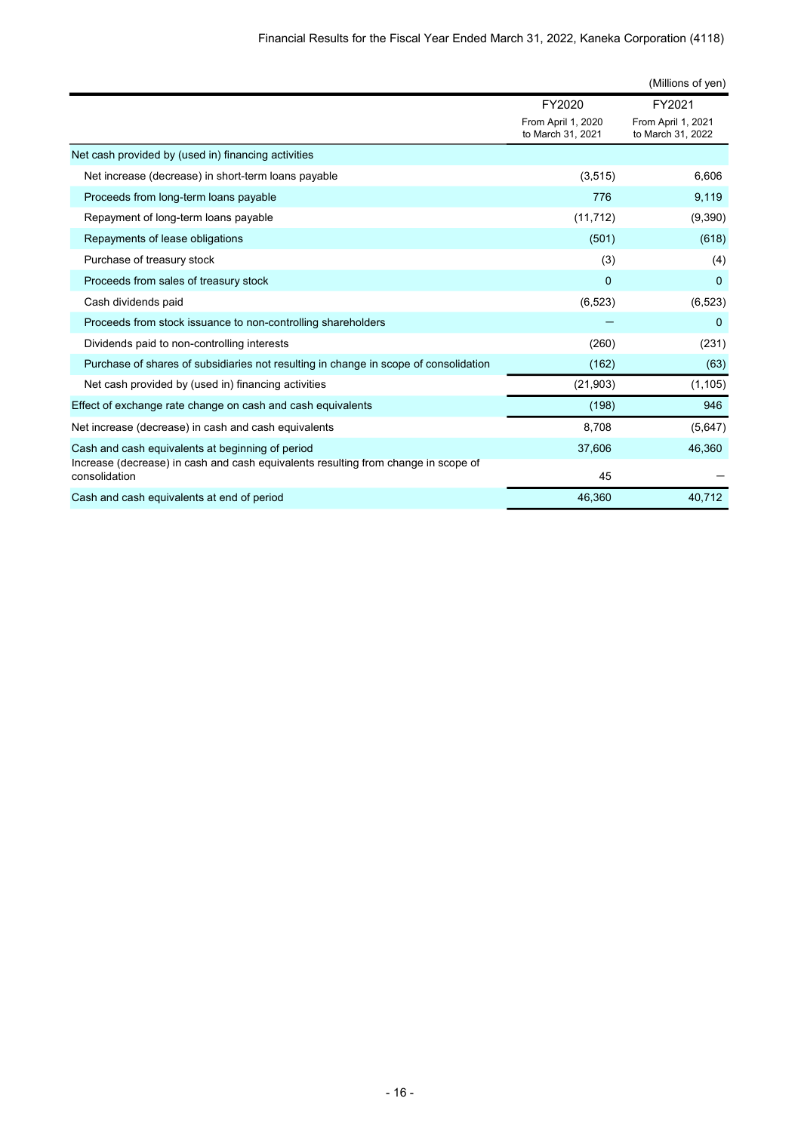|                                                                                                     |                                         | (Millions of yen)                       |
|-----------------------------------------------------------------------------------------------------|-----------------------------------------|-----------------------------------------|
|                                                                                                     | FY2020                                  | FY2021                                  |
|                                                                                                     | From April 1, 2020<br>to March 31, 2021 | From April 1, 2021<br>to March 31, 2022 |
| Net cash provided by (used in) financing activities                                                 |                                         |                                         |
| Net increase (decrease) in short-term loans payable                                                 | (3,515)                                 | 6,606                                   |
| Proceeds from long-term loans payable                                                               | 776                                     | 9,119                                   |
| Repayment of long-term loans payable                                                                | (11, 712)                               | (9,390)                                 |
| Repayments of lease obligations                                                                     | (501)                                   | (618)                                   |
| Purchase of treasury stock                                                                          | (3)                                     | (4)                                     |
| Proceeds from sales of treasury stock                                                               | $\Omega$                                | $\Omega$                                |
| Cash dividends paid                                                                                 | (6, 523)                                | (6, 523)                                |
| Proceeds from stock issuance to non-controlling shareholders                                        |                                         | 0                                       |
| Dividends paid to non-controlling interests                                                         | (260)                                   | (231)                                   |
| Purchase of shares of subsidiaries not resulting in change in scope of consolidation                | (162)                                   | (63)                                    |
| Net cash provided by (used in) financing activities                                                 | (21, 903)                               | (1, 105)                                |
| Effect of exchange rate change on cash and cash equivalents                                         | (198)                                   | 946                                     |
| Net increase (decrease) in cash and cash equivalents                                                | 8,708                                   | (5,647)                                 |
| Cash and cash equivalents at beginning of period                                                    | 37,606                                  | 46,360                                  |
| Increase (decrease) in cash and cash equivalents resulting from change in scope of<br>consolidation | 45                                      |                                         |
| Cash and cash equivalents at end of period                                                          | 46,360                                  | 40,712                                  |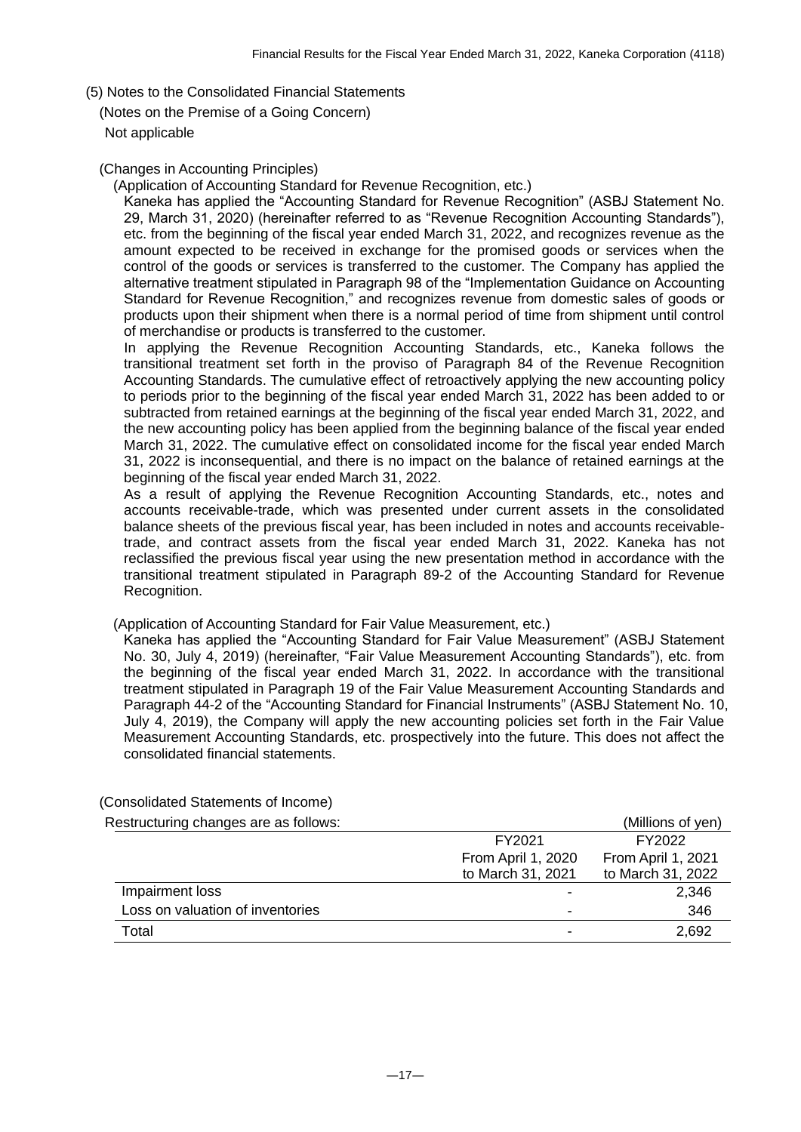- (5) Notes to the Consolidated Financial Statements
- (Notes on the Premise of a Going Concern)

Not applicable

#### (Changes in Accounting Principles)

(Application of Accounting Standard for Revenue Recognition, etc.)

Kaneka has applied the "Accounting Standard for Revenue Recognition" (ASBJ Statement No. 29, March 31, 2020) (hereinafter referred to as "Revenue Recognition Accounting Standards"), etc. from the beginning of the fiscal year ended March 31, 2022, and recognizes revenue as the amount expected to be received in exchange for the promised goods or services when the control of the goods or services is transferred to the customer. The Company has applied the alternative treatment stipulated in Paragraph 98 of the "Implementation Guidance on Accounting Standard for Revenue Recognition," and recognizes revenue from domestic sales of goods or products upon their shipment when there is a normal period of time from shipment until control of merchandise or products is transferred to the customer.

In applying the Revenue Recognition Accounting Standards, etc., Kaneka follows the transitional treatment set forth in the proviso of Paragraph 84 of the Revenue Recognition Accounting Standards. The cumulative effect of retroactively applying the new accounting policy to periods prior to the beginning of the fiscal year ended March 31, 2022 has been added to or subtracted from retained earnings at the beginning of the fiscal year ended March 31, 2022, and the new accounting policy has been applied from the beginning balance of the fiscal year ended March 31, 2022. The cumulative effect on consolidated income for the fiscal year ended March 31, 2022 is inconsequential, and there is no impact on the balance of retained earnings at the beginning of the fiscal year ended March 31, 2022.

As a result of applying the Revenue Recognition Accounting Standards, etc., notes and accounts receivable-trade, which was presented under current assets in the consolidated balance sheets of the previous fiscal year, has been included in notes and accounts receivabletrade, and contract assets from the fiscal year ended March 31, 2022. Kaneka has not reclassified the previous fiscal year using the new presentation method in accordance with the transitional treatment stipulated in Paragraph 89-2 of the Accounting Standard for Revenue Recognition.

(Application of Accounting Standard for Fair Value Measurement, etc.)

Kaneka has applied the "Accounting Standard for Fair Value Measurement" (ASBJ Statement No. 30, July 4, 2019) (hereinafter, "Fair Value Measurement Accounting Standards"), etc. from the beginning of the fiscal year ended March 31, 2022. In accordance with the transitional treatment stipulated in Paragraph 19 of the Fair Value Measurement Accounting Standards and Paragraph 44-2 of the "Accounting Standard for Financial Instruments" (ASBJ Statement No. 10, July 4, 2019), the Company will apply the new accounting policies set forth in the Fair Value Measurement Accounting Standards, etc. prospectively into the future. This does not affect the consolidated financial statements.

| Restructuring changes are as follows: |                    | (Millions of yen)  |
|---------------------------------------|--------------------|--------------------|
|                                       | FY2021             | FY2022             |
|                                       | From April 1, 2020 | From April 1, 2021 |
|                                       | to March 31, 2021  | to March 31, 2022  |
| Impairment loss                       |                    | 2,346              |
| Loss on valuation of inventories      |                    | 346                |
| Total                                 |                    | 2,692              |

(Consolidated Statements of Income)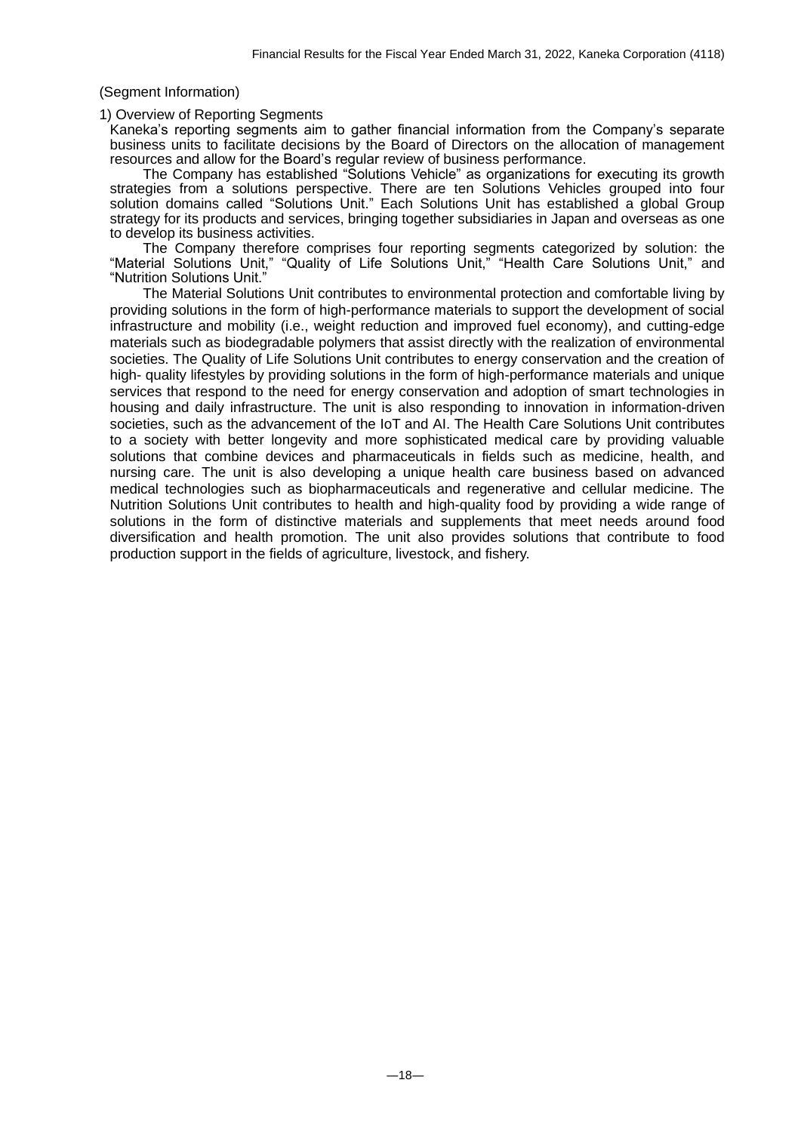#### (Segment Information)

#### 1) Overview of Reporting Segments

Kaneka's reporting segments aim to gather financial information from the Company's separate business units to facilitate decisions by the Board of Directors on the allocation of management resources and allow for the Board's regular review of business performance.

The Company has established "Solutions Vehicle" as organizations for executing its growth strategies from a solutions perspective. There are ten Solutions Vehicles grouped into four solution domains called "Solutions Unit." Each Solutions Unit has established a global Group strategy for its products and services, bringing together subsidiaries in Japan and overseas as one to develop its business activities.

The Company therefore comprises four reporting segments categorized by solution: the "Material Solutions Unit," "Quality of Life Solutions Unit," "Health Care Solutions Unit," and "Nutrition Solutions Unit."

The Material Solutions Unit contributes to environmental protection and comfortable living by providing solutions in the form of high-performance materials to support the development of social infrastructure and mobility (i.e., weight reduction and improved fuel economy), and cutting-edge materials such as biodegradable polymers that assist directly with the realization of environmental societies. The Quality of Life Solutions Unit contributes to energy conservation and the creation of high- quality lifestyles by providing solutions in the form of high-performance materials and unique services that respond to the need for energy conservation and adoption of smart technologies in housing and daily infrastructure. The unit is also responding to innovation in information-driven societies, such as the advancement of the IoT and AI. The Health Care Solutions Unit contributes to a society with better longevity and more sophisticated medical care by providing valuable solutions that combine devices and pharmaceuticals in fields such as medicine, health, and nursing care. The unit is also developing a unique health care business based on advanced medical technologies such as biopharmaceuticals and regenerative and cellular medicine. The Nutrition Solutions Unit contributes to health and high-quality food by providing a wide range of solutions in the form of distinctive materials and supplements that meet needs around food diversification and health promotion. The unit also provides solutions that contribute to food production support in the fields of agriculture, livestock, and fishery.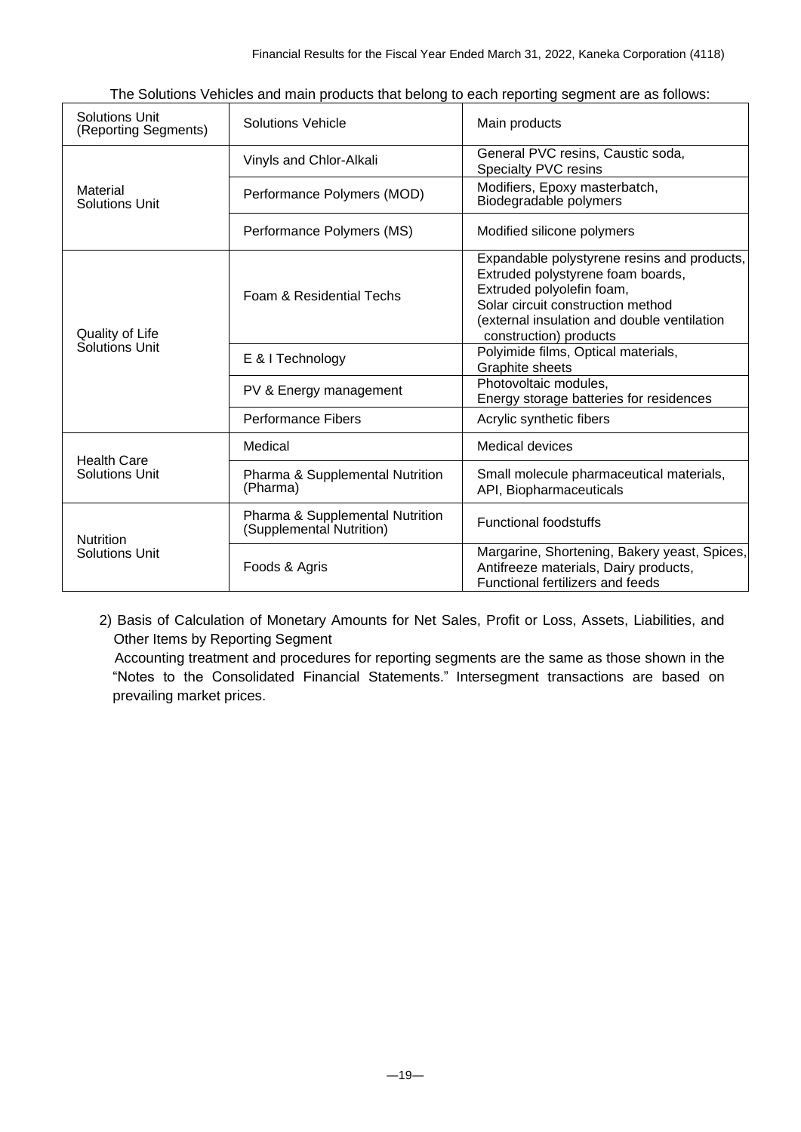| <b>Solutions Unit</b><br>(Reporting Segments) | <b>Solutions Vehicle</b>                                    | Main products                                                                                                                                                                                                               |
|-----------------------------------------------|-------------------------------------------------------------|-----------------------------------------------------------------------------------------------------------------------------------------------------------------------------------------------------------------------------|
|                                               | Vinyls and Chlor-Alkali                                     | General PVC resins, Caustic soda,<br>Specialty PVC resins                                                                                                                                                                   |
| Material<br><b>Solutions Unit</b>             | Performance Polymers (MOD)                                  | Modifiers, Epoxy masterbatch,<br>Biodegradable polymers                                                                                                                                                                     |
|                                               | Performance Polymers (MS)                                   | Modified silicone polymers                                                                                                                                                                                                  |
| Quality of Life                               | Foam & Residential Techs                                    | Expandable polystyrene resins and products,<br>Extruded polystyrene foam boards,<br>Extruded polyolefin foam,<br>Solar circuit construction method<br>(external insulation and double ventilation<br>construction) products |
| Solutions Unit                                | E & I Technology                                            | Polyimide films, Optical materials,<br>Graphite sheets                                                                                                                                                                      |
|                                               | PV & Energy management                                      | Photovoltaic modules,<br>Energy storage batteries for residences                                                                                                                                                            |
|                                               | <b>Performance Fibers</b>                                   | Acrylic synthetic fibers                                                                                                                                                                                                    |
| <b>Health Care</b>                            | Medical                                                     | Medical devices                                                                                                                                                                                                             |
| <b>Solutions Unit</b>                         | Pharma & Supplemental Nutrition<br>(Pharma)                 | Small molecule pharmaceutical materials,<br>API, Biopharmaceuticals                                                                                                                                                         |
| <b>Nutrition</b>                              | Pharma & Supplemental Nutrition<br>(Supplemental Nutrition) | <b>Functional foodstuffs</b>                                                                                                                                                                                                |
| <b>Solutions Unit</b>                         | Foods & Agris                                               | Margarine, Shortening, Bakery yeast, Spices,<br>Antifreeze materials, Dairy products,<br>Functional fertilizers and feeds                                                                                                   |

The Solutions Vehicles and main products that belong to each reporting segment are as follows:

2) Basis of Calculation of Monetary Amounts for Net Sales, Profit or Loss, Assets, Liabilities, and Other Items by Reporting Segment

Accounting treatment and procedures for reporting segments are the same as those shown in the "Notes to the Consolidated Financial Statements." Intersegment transactions are based on prevailing market prices.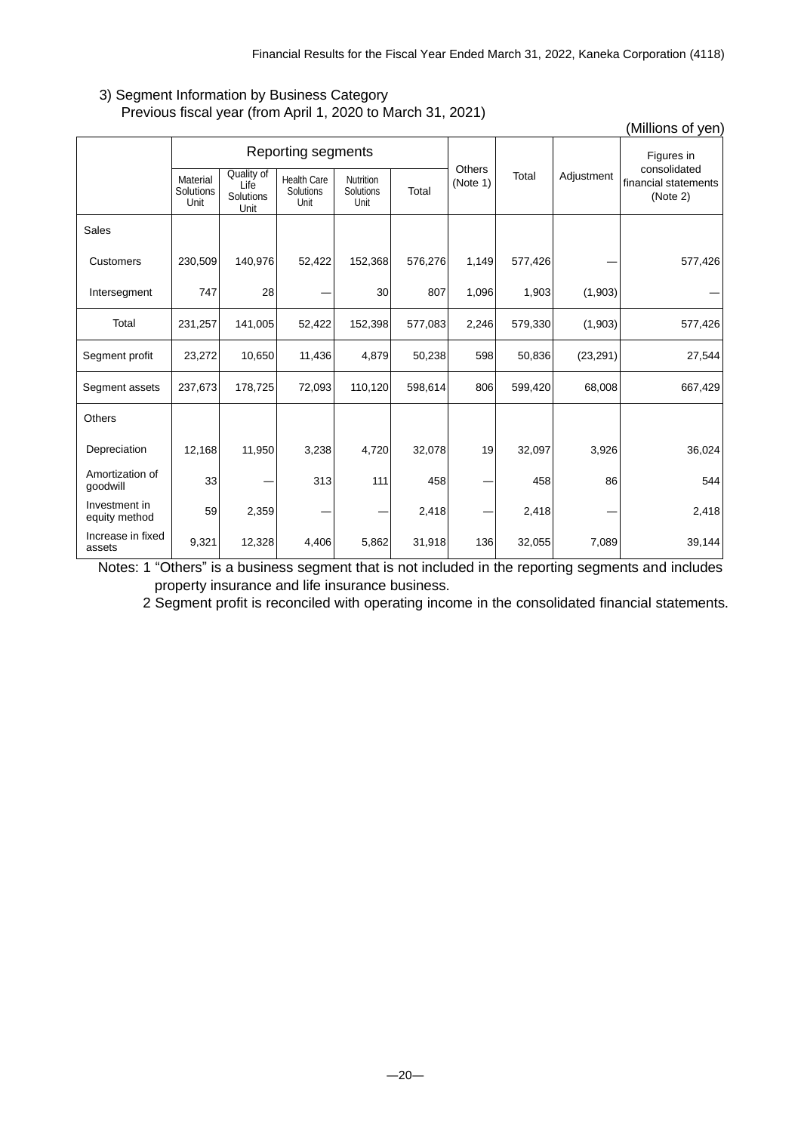# 3) Segment Information by Business Category Previous fiscal year (from April 1, 2020 to March 31, 2021)

|                                |                               |                                         |                                         |                                |         |                    |         |            | (Millions of yen)                                |
|--------------------------------|-------------------------------|-----------------------------------------|-----------------------------------------|--------------------------------|---------|--------------------|---------|------------|--------------------------------------------------|
|                                | Reporting segments            |                                         |                                         |                                |         |                    |         |            | Figures in                                       |
|                                | Material<br>Solutions<br>Unit | Quality of<br>Life<br>Solutions<br>Unit | <b>Health Care</b><br>Solutions<br>Unit | Nutrition<br>Solutions<br>Unit | Total   | Others<br>(Note 1) | Total   | Adjustment | consolidated<br>financial statements<br>(Note 2) |
| Sales                          |                               |                                         |                                         |                                |         |                    |         |            |                                                  |
| Customers                      | 230,509                       | 140,976                                 | 52,422                                  | 152,368                        | 576,276 | 1,149              | 577,426 |            | 577,426                                          |
| Intersegment                   | 747                           | 28                                      |                                         | 30                             | 807     | 1,096              | 1,903   | (1,903)    |                                                  |
| Total                          | 231,257                       | 141,005                                 | 52,422                                  | 152,398                        | 577,083 | 2,246              | 579,330 | (1,903)    | 577,426                                          |
| Segment profit                 | 23,272                        | 10,650                                  | 11,436                                  | 4,879                          | 50,238  | 598                | 50,836  | (23, 291)  | 27,544                                           |
| Segment assets                 | 237,673                       | 178,725                                 | 72,093                                  | 110,120                        | 598,614 | 806                | 599,420 | 68,008     | 667,429                                          |
| Others                         |                               |                                         |                                         |                                |         |                    |         |            |                                                  |
| Depreciation                   | 12,168                        | 11,950                                  | 3,238                                   | 4,720                          | 32,078  | 19                 | 32,097  | 3,926      | 36,024                                           |
| Amortization of<br>goodwill    | 33                            |                                         | 313                                     | 111                            | 458     |                    | 458     | 86         | 544                                              |
| Investment in<br>equity method | 59                            | 2,359                                   |                                         |                                | 2,418   |                    | 2,418   |            | 2,418                                            |
| Increase in fixed<br>assets    | 9,321                         | 12,328                                  | 4,406                                   | 5,862                          | 31,918  | 136                | 32,055  | 7,089      | 39,144                                           |

Notes: 1 "Others" is a business segment that is not included in the reporting segments and includes property insurance and life insurance business.

2 Segment profit is reconciled with operating income in the consolidated financial statements.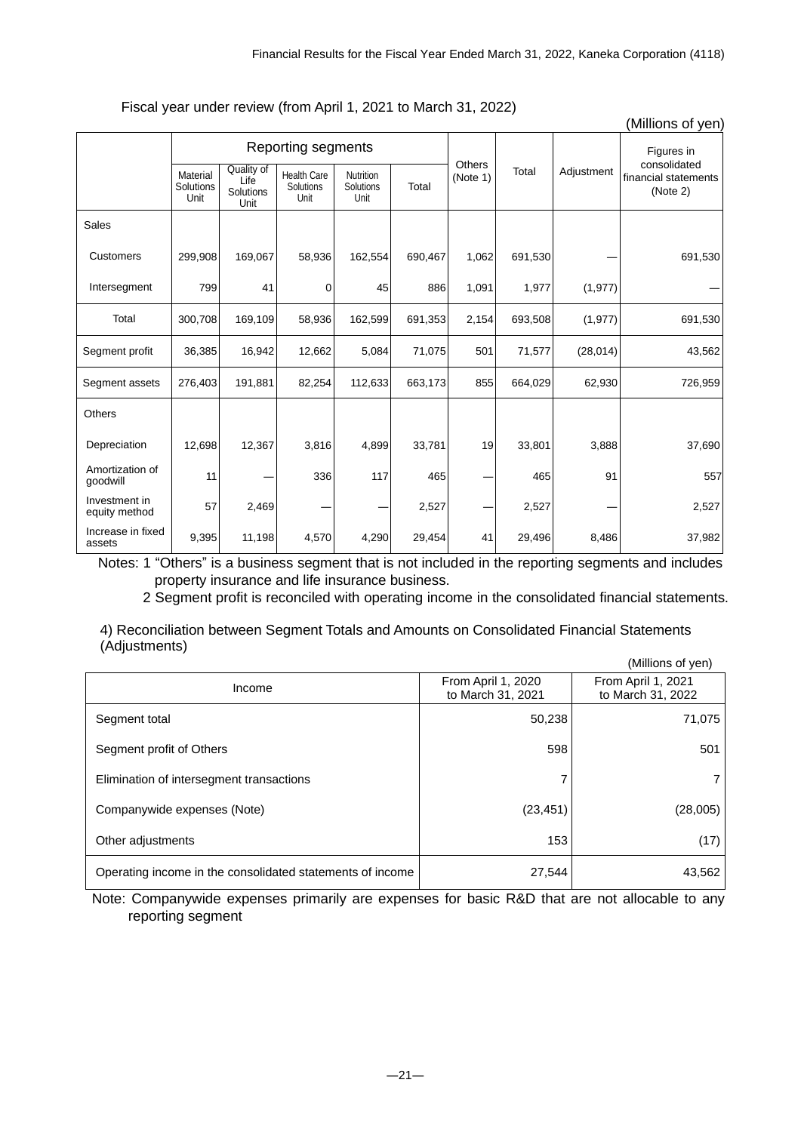|                                |                               |                                         |                                                |                                       |         |                    |         |            | (Millions of yen)                                |  |
|--------------------------------|-------------------------------|-----------------------------------------|------------------------------------------------|---------------------------------------|---------|--------------------|---------|------------|--------------------------------------------------|--|
|                                |                               |                                         | Reporting segments                             |                                       |         |                    |         | Adjustment | Figures in                                       |  |
|                                | Material<br>Solutions<br>Unit | Quality of<br>Life<br>Solutions<br>Unit | <b>Health Care</b><br><b>Solutions</b><br>Unit | <b>Nutrition</b><br>Solutions<br>Unit | Total   | Others<br>(Note 1) | Total   |            | consolidated<br>financial statements<br>(Note 2) |  |
| Sales                          |                               |                                         |                                                |                                       |         |                    |         |            |                                                  |  |
| Customers                      | 299,908                       | 169,067                                 | 58,936                                         | 162,554                               | 690,467 | 1,062              | 691,530 |            | 691,530                                          |  |
| Intersegment                   | 799                           | 41                                      | 0                                              | 45                                    | 886     | 1,091              | 1,977   | (1, 977)   |                                                  |  |
| Total                          | 300,708                       | 169,109                                 | 58,936                                         | 162,599                               | 691,353 | 2,154              | 693,508 | (1, 977)   | 691,530                                          |  |
| Segment profit                 | 36,385                        | 16,942                                  | 12,662                                         | 5,084                                 | 71,075  | 501                | 71,577  | (28, 014)  | 43,562                                           |  |
| Segment assets                 | 276,403                       | 191,881                                 | 82,254                                         | 112,633                               | 663,173 | 855                | 664,029 | 62,930     | 726,959                                          |  |
| Others                         |                               |                                         |                                                |                                       |         |                    |         |            |                                                  |  |
| Depreciation                   | 12,698                        | 12,367                                  | 3,816                                          | 4,899                                 | 33,781  | 19                 | 33,801  | 3,888      | 37,690                                           |  |
| Amortization of<br>goodwill    | 11                            |                                         | 336                                            | 117                                   | 465     |                    | 465     | 91         | 557                                              |  |
| Investment in<br>equity method | 57                            | 2,469                                   |                                                |                                       | 2,527   |                    | 2,527   |            | 2,527                                            |  |
| Increase in fixed<br>assets    | 9,395                         | 11,198                                  | 4,570                                          | 4,290                                 | 29,454  | 41                 | 29,496  | 8,486      | 37,982                                           |  |

Fiscal year under review (from April 1, 2021 to March 31, 2022)

Notes: 1 "Others" is a business segment that is not included in the reporting segments and includes property insurance and life insurance business.

2 Segment profit is reconciled with operating income in the consolidated financial statements.

4) Reconciliation between Segment Totals and Amounts on Consolidated Financial Statements (Adjustments)  $(M)$ lions of year)

|                                                           |                                         | (Millions of yen)                       |
|-----------------------------------------------------------|-----------------------------------------|-----------------------------------------|
| Income                                                    | From April 1, 2020<br>to March 31, 2021 | From April 1, 2021<br>to March 31, 2022 |
| Segment total                                             | 50,238                                  | 71,075                                  |
| Segment profit of Others                                  | 598                                     | 501                                     |
| Elimination of intersegment transactions                  |                                         |                                         |
| Companywide expenses (Note)                               | (23, 451)                               | (28,005)                                |
| Other adjustments                                         | 153                                     | (17)                                    |
| Operating income in the consolidated statements of income | 27,544                                  | 43,562                                  |

Note: Companywide expenses primarily are expenses for basic R&D that are not allocable to any reporting segment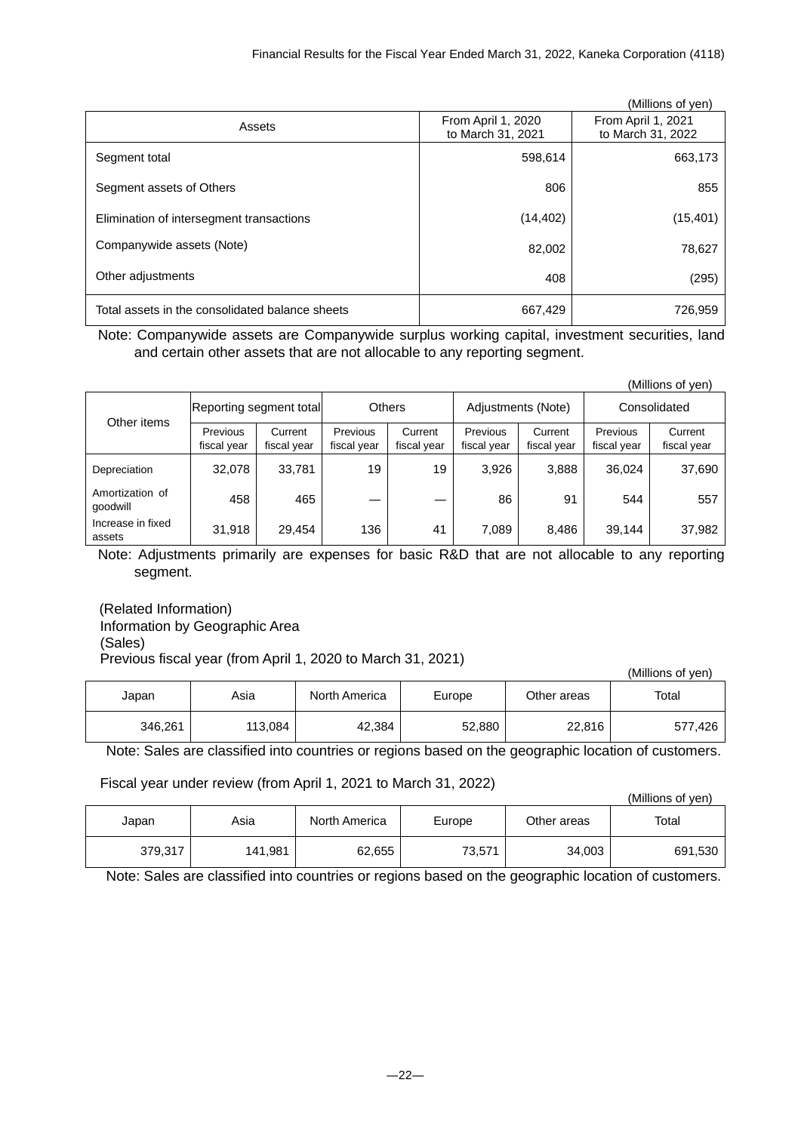|                                                 |                                         | (Millions of yen)                       |
|-------------------------------------------------|-----------------------------------------|-----------------------------------------|
| Assets                                          | From April 1, 2020<br>to March 31, 2021 | From April 1, 2021<br>to March 31, 2022 |
| Segment total                                   | 598,614                                 | 663,173                                 |
| Segment assets of Others                        | 806                                     | 855                                     |
| Elimination of intersegment transactions        | (14, 402)                               | (15, 401)                               |
| Companywide assets (Note)                       | 82,002                                  | 78,627                                  |
| Other adjustments                               | 408                                     | (295)                                   |
| Total assets in the consolidated balance sheets | 667,429                                 | 726,959                                 |

Note: Companywide assets are Companywide surplus working capital, investment securities, land and certain other assets that are not allocable to any reporting segment.

|                             |                                |                        |                                |                        |                                |                        |                         | (Millions of yen)      |
|-----------------------------|--------------------------------|------------------------|--------------------------------|------------------------|--------------------------------|------------------------|-------------------------|------------------------|
| Other items                 | Reporting segment total        |                        | <b>Others</b>                  |                        | Adjustments (Note)             |                        | Consolidated            |                        |
|                             | <b>Previous</b><br>fiscal year | Current<br>fiscal year | <b>Previous</b><br>fiscal year | Current<br>fiscal year | <b>Previous</b><br>fiscal year | Current<br>fiscal year | Previous<br>fiscal year | Current<br>fiscal year |
| Depreciation                | 32,078                         | 33,781                 | 19                             | 19                     | 3,926                          | 3,888                  | 36.024                  | 37,690                 |
| Amortization of<br>qoodwill | 458                            | 465                    |                                |                        | 86                             | 91                     | 544                     | 557                    |
| Increase in fixed<br>assets | 31,918                         | 29.454                 | 136                            | 41                     | 7,089                          | 8,486                  | 39,144                  | 37,982                 |

Note: Adjustments primarily are expenses for basic R&D that are not allocable to any reporting segment.

(Related Information) Information by Geographic Area (Sales) Previous fiscal year (from April 1, 2020 to March 31, 2021)

|         |         |               |        |             | (Millions of ven) |
|---------|---------|---------------|--------|-------------|-------------------|
| Japan   | Asia    | North America | Europe | Other areas | Total             |
| 346,261 | 113,084 | 42,384        | 52,880 | 22,816      | 577,426           |

Note: Sales are classified into countries or regions based on the geographic location of customers.

Fiscal year under review (from April 1, 2021 to March 31, 2022)

(Millions of yen)

| Japan   | Asia    | North America | Europe | Other areas | Total   |
|---------|---------|---------------|--------|-------------|---------|
| 379,317 | 141,981 | 62,655        | 73,571 | 34,003      | 691,530 |

Note: Sales are classified into countries or regions based on the geographic location of customers.